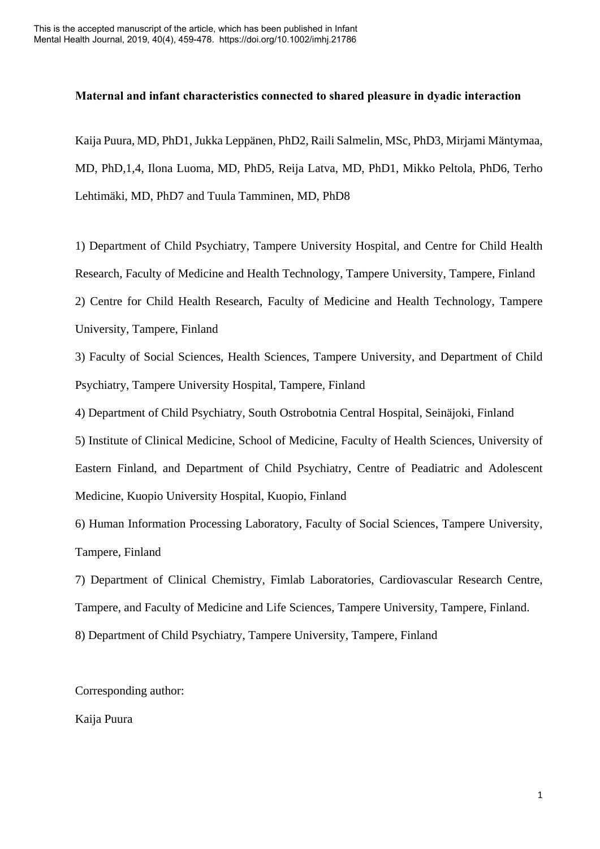# **Maternal and infant characteristics connected to shared pleasure in dyadic interaction**

Kaija Puura, MD, PhD1, Jukka Leppänen, PhD2, Raili Salmelin, MSc, PhD3, Mirjami Mäntymaa, MD, PhD,1,4, Ilona Luoma, MD, PhD5, Reija Latva, MD, PhD1, Mikko Peltola, PhD6, Terho Lehtimäki, MD, PhD7 and Tuula Tamminen, MD, PhD8

1) Department of Child Psychiatry, Tampere University Hospital, and Centre for Child Health Research, Faculty of Medicine and Health Technology, Tampere University, Tampere, Finland 2) Centre for Child Health Research, Faculty of Medicine and Health Technology, Tampere University, Tampere, Finland

3) Faculty of Social Sciences, Health Sciences, Tampere University, and Department of Child Psychiatry, Tampere University Hospital, Tampere, Finland

4) Department of Child Psychiatry, South Ostrobotnia Central Hospital, Seinäjoki, Finland

5) Institute of Clinical Medicine, School of Medicine, Faculty of Health Sciences, University of Eastern Finland, and Department of Child Psychiatry, Centre of Peadiatric and Adolescent Medicine, Kuopio University Hospital, Kuopio, Finland

6) Human Information Processing Laboratory, Faculty of Social Sciences, Tampere University, Tampere, Finland

7) Department of Clinical Chemistry, Fimlab Laboratories, Cardiovascular Research Centre, Tampere, and Faculty of Medicine and Life Sciences, Tampere University, Tampere, Finland. 8) Department of Child Psychiatry, Tampere University, Tampere, Finland

Corresponding author:

Kaija Puura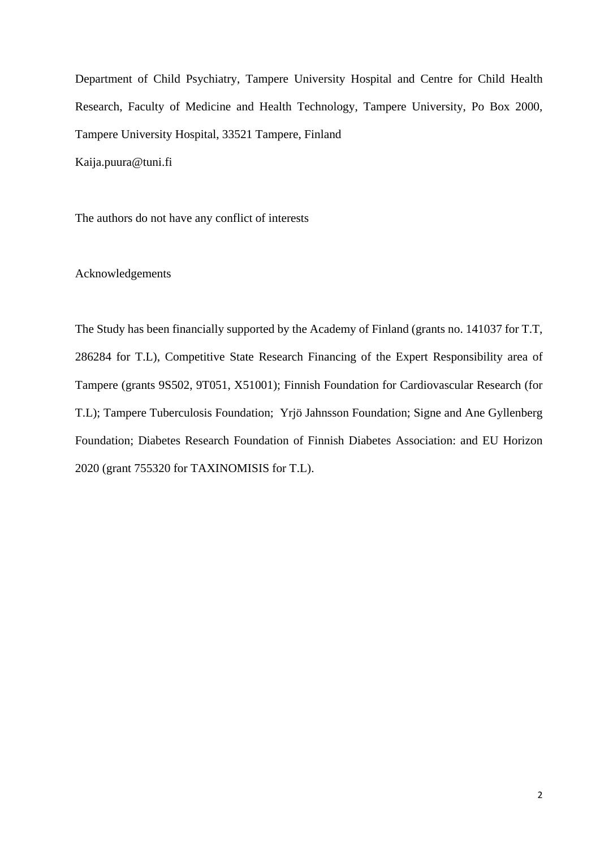Department of Child Psychiatry, Tampere University Hospital and Centre for Child Health Research, Faculty of Medicine and Health Technology, Tampere University, Po Box 2000, Tampere University Hospital, 33521 Tampere, Finland Kaija.puura@tuni.fi

The authors do not have any conflict of interests

# Acknowledgements

The Study has been financially supported by the Academy of Finland (grants no. 141037 for T.T, 286284 for T.L), Competitive State Research Financing of the Expert Responsibility area of Tampere (grants 9S502, 9T051, X51001); Finnish Foundation for Cardiovascular Research (for T.L); Tampere Tuberculosis Foundation; Yrjö Jahnsson Foundation; Signe and Ane Gyllenberg Foundation; Diabetes Research Foundation of Finnish Diabetes Association: and EU Horizon 2020 (grant 755320 for TAXINOMISIS for T.L).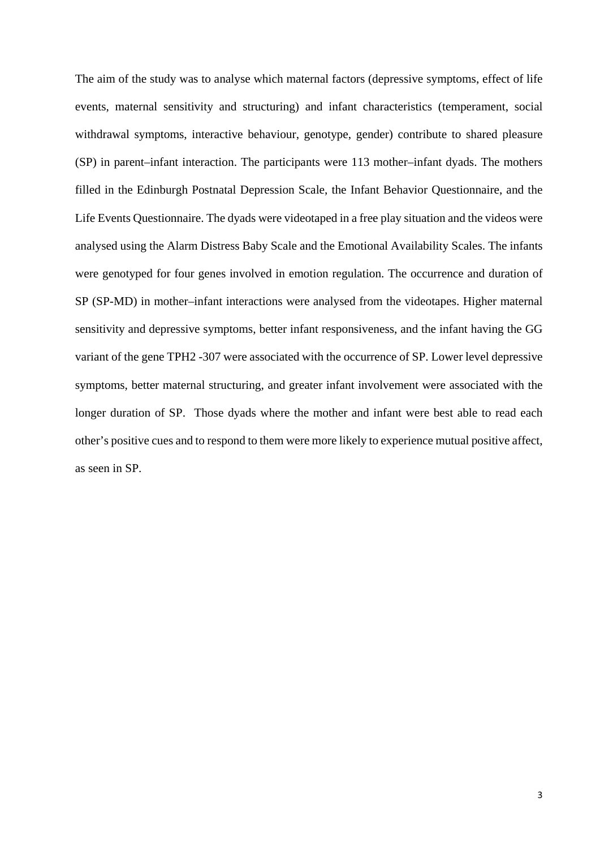The aim of the study was to analyse which maternal factors (depressive symptoms, effect of life events, maternal sensitivity and structuring) and infant characteristics (temperament, social withdrawal symptoms, interactive behaviour, genotype, gender) contribute to shared pleasure (SP) in parent–infant interaction. The participants were 113 mother–infant dyads. The mothers filled in the Edinburgh Postnatal Depression Scale, the Infant Behavior Questionnaire, and the Life Events Questionnaire. The dyads were videotaped in a free play situation and the videos were analysed using the Alarm Distress Baby Scale and the Emotional Availability Scales. The infants were genotyped for four genes involved in emotion regulation. The occurrence and duration of SP (SP-MD) in mother–infant interactions were analysed from the videotapes. Higher maternal sensitivity and depressive symptoms, better infant responsiveness, and the infant having the GG variant of the gene TPH2 -307 were associated with the occurrence of SP. Lower level depressive symptoms, better maternal structuring, and greater infant involvement were associated with the longer duration of SP. Those dyads where the mother and infant were best able to read each other's positive cues and to respond to them were more likely to experience mutual positive affect, as seen in SP.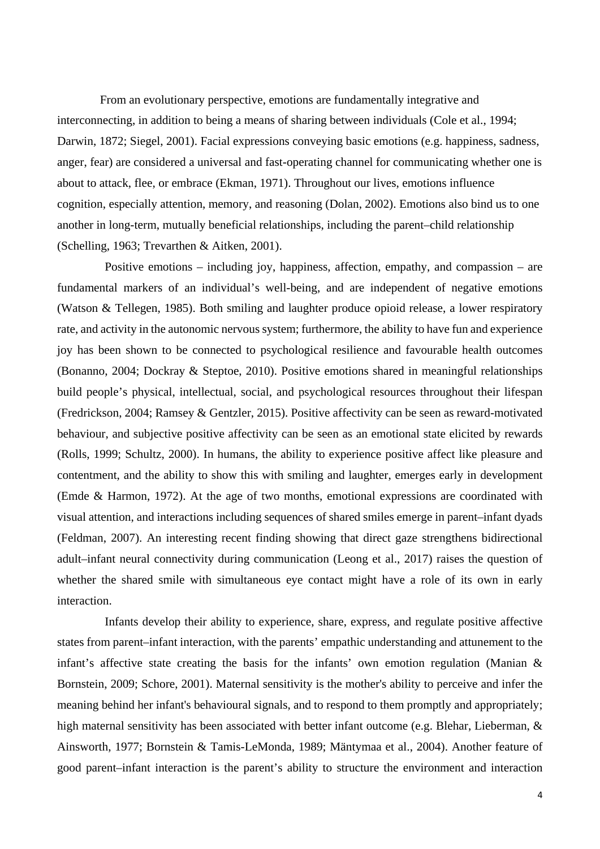From an evolutionary perspective, emotions are fundamentally integrative and interconnecting, in addition to being a means of sharing between individuals (Cole et al., 1994; Darwin, 1872; Siegel, 2001). Facial expressions conveying basic emotions (e.g. happiness, sadness, anger, fear) are considered a universal and fast-operating channel for communicating whether one is about to attack, flee, or embrace (Ekman, 1971). Throughout our lives, emotions influence cognition, especially attention, memory, and reasoning (Dolan, 2002). Emotions also bind us to one another in long-term, mutually beneficial relationships, including the parent–child relationship (Schelling, 1963; Trevarthen & Aitken, 2001).

Positive emotions – including joy, happiness, affection, empathy, and compassion – are fundamental markers of an individual's well-being, and are independent of negative emotions (Watson & Tellegen, 1985). Both smiling and laughter produce opioid release, a lower respiratory rate, and activity in the autonomic nervous system; furthermore, the ability to have fun and experience joy has been shown to be connected to psychological resilience and favourable health outcomes (Bonanno, 2004; Dockray & Steptoe, 2010). Positive emotions shared in meaningful relationships build people's physical, intellectual, social, and psychological resources throughout their lifespan (Fredrickson, 2004; Ramsey & Gentzler, 2015). Positive affectivity can be seen as reward-motivated behaviour, and subjective positive affectivity can be seen as an emotional state elicited by rewards (Rolls, 1999; Schultz, 2000). In humans, the ability to experience positive affect like pleasure and contentment, and the ability to show this with smiling and laughter, emerges early in development (Emde & Harmon, 1972). At the age of two months, emotional expressions are coordinated with visual attention, and interactions including sequences of shared smiles emerge in parent–infant dyads (Feldman, 2007). An interesting recent finding showing that direct gaze strengthens bidirectional adult–infant neural connectivity during communication (Leong et al., 2017) raises the question of whether the shared smile with simultaneous eye contact might have a role of its own in early interaction.

Infants develop their ability to experience, share, express, and regulate positive affective states from parent–infant interaction, with the parents' empathic understanding and attunement to the infant's affective state creating the basis for the infants' own emotion regulation (Manian & Bornstein, 2009; Schore, 2001). Maternal sensitivity is the mother's ability to perceive and infer the meaning behind her infant's behavioural signals, and to respond to them promptly and appropriately; high maternal sensitivity has been associated with better infant outcome (e.g. Blehar, Lieberman, & Ainsworth, 1977; Bornstein & Tamis-LeMonda, 1989; Mäntymaa et al., 2004). Another feature of good parent–infant interaction is the parent's ability to structure the environment and interaction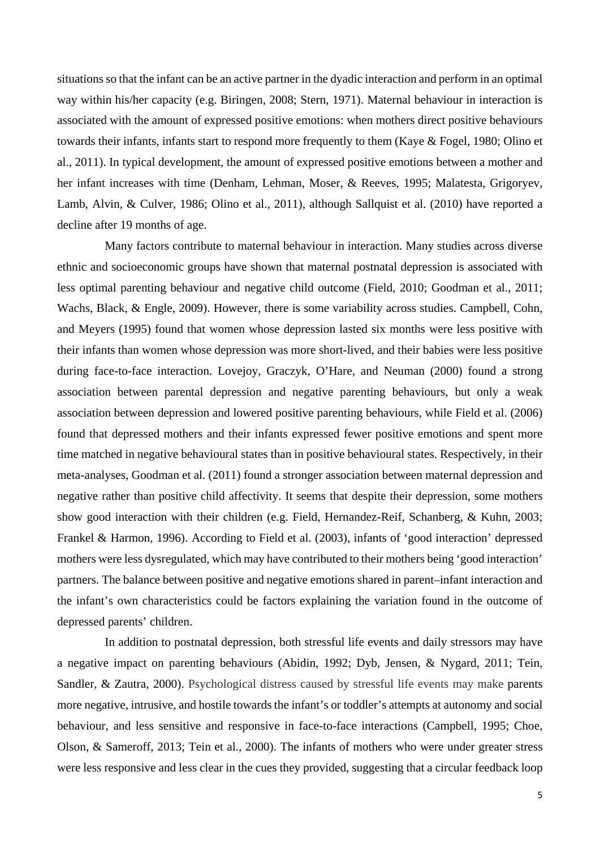situations so that the infant can be an active partner in the dyadic interaction and perform in an optimal way within his/her capacity (e.g. Biringen, 2008; Stern, 1971). Maternal behaviour in interaction is associated with the amount of expressed positive emotions: when mothers direct positive behaviours towards their infants, infants start to respond more frequently to them (Kaye & Fogel, 1980; Olino et al., 2011). In typical development, the amount of expressed positive emotions between a mother and her infant increases with time (Denham, Lehman, Moser, & Reeves, 1995; Malatesta, Grigoryev, Lamb, Alvin, & Culver, 1986; Olino et al., 2011), although Sallquist et al. (2010) have reported a decline after 19 months of age.

Many factors contribute to maternal behaviour in interaction. Many studies across diverse ethnic and socioeconomic groups have shown that maternal postnatal depression is associated with less optimal parenting behaviour and negative child outcome (Field, 2010; Goodman et al., 2011; Wachs, Black, & Engle, 2009). However, there is some variability across studies. Campbell, Cohn, and Meyers (1995) found that women whose depression lasted six months were less positive with their infants than women whose depression was more short-lived, and their babies were less positive during face-to-face interaction. Lovejoy, Graczyk, O'Hare, and Neuman (2000) found a strong association between parental depression and negative parenting behaviours, but only a weak association between depression and lowered positive parenting behaviours, while Field et al. (2006) found that depressed mothers and their infants expressed fewer positive emotions and spent more time matched in negative behavioural states than in positive behavioural states. Respectively, in their meta-analyses, Goodman et al. (2011) found a stronger association between maternal depression and negative rather than positive child affectivity. It seems that despite their depression, some mothers show good interaction with their children (e.g. Field, Hernandez-Reif, Schanberg, & Kuhn, 2003; Frankel & Harmon, 1996). According to Field et al. (2003), infants of 'good interaction' depressed mothers were less dysregulated, which may have contributed to their mothers being 'good interaction' partners. The balance between positive and negative emotions shared in parent–infant interaction and the infant's own characteristics could be factors explaining the variation found in the outcome of depressed parents' children.

In addition to postnatal depression, both stressful life events and daily stressors may have a negative impact on parenting behaviours (Abidin, 1992; Dyb, Jensen, & Nygard, 2011; Tein, Sandler, & Zautra, 2000). Psychological distress caused by stressful life events may make parents more negative, intrusive, and hostile towards the infant's or toddler's attempts at autonomy and social behaviour, and less sensitive and responsive in face-to-face interactions (Campbell, 1995; Choe, Olson, & Sameroff, 2013; Tein et al., 2000). The infants of mothers who were under greater stress were less responsive and less clear in the cues they provided, suggesting that a circular feedback loop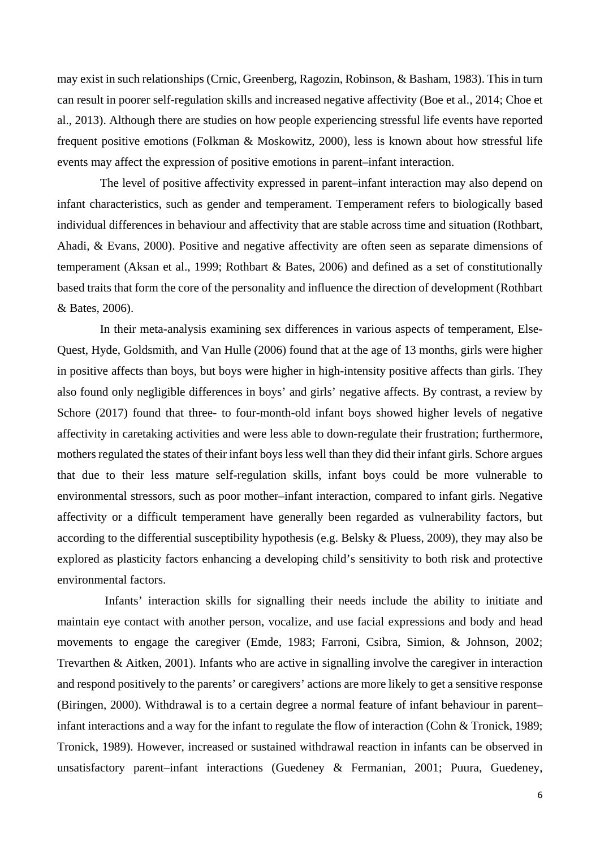may exist in such relationships (Crnic, Greenberg, Ragozin, Robinson, & Basham, 1983). This in turn can result in poorer self-regulation skills and increased negative affectivity (Boe et al., 2014; Choe et al., 2013). Although there are studies on how people experiencing stressful life events have reported frequent positive emotions (Folkman & Moskowitz, 2000), less is known about how stressful life events may affect the expression of positive emotions in parent–infant interaction.

The level of positive affectivity expressed in parent–infant interaction may also depend on infant characteristics, such as gender and temperament. Temperament refers to biologically based individual differences in behaviour and affectivity that are stable across time and situation (Rothbart, Ahadi, & Evans, 2000). Positive and negative affectivity are often seen as separate dimensions of temperament (Aksan et al., 1999; Rothbart & Bates, 2006) and defined as a set of constitutionally based traits that form the core of the personality and influence the direction of development (Rothbart & Bates, 2006).

In their meta-analysis examining sex differences in various aspects of temperament, Else-Quest, Hyde, Goldsmith, and Van Hulle (2006) found that at the age of 13 months, girls were higher in positive affects than boys, but boys were higher in high-intensity positive affects than girls. They also found only negligible differences in boys' and girls' negative affects. By contrast, a review by Schore (2017) found that three- to four-month-old infant boys showed higher levels of negative affectivity in caretaking activities and were less able to down-regulate their frustration; furthermore, mothers regulated the states of their infant boys less well than they did their infant girls. Schore argues that due to their less mature self-regulation skills, infant boys could be more vulnerable to environmental stressors, such as poor mother–infant interaction, compared to infant girls. Negative affectivity or a difficult temperament have generally been regarded as vulnerability factors, but according to the differential susceptibility hypothesis (e.g. Belsky & Pluess, 2009), they may also be explored as plasticity factors enhancing a developing child's sensitivity to both risk and protective environmental factors.

Infants' interaction skills for signalling their needs include the ability to initiate and maintain eye contact with another person, vocalize, and use facial expressions and body and head movements to engage the caregiver (Emde, 1983; Farroni, Csibra, Simion, & Johnson, 2002; Trevarthen & Aitken, 2001). Infants who are active in signalling involve the caregiver in interaction and respond positively to the parents' or caregivers' actions are more likely to get a sensitive response (Biringen, 2000). Withdrawal is to a certain degree a normal feature of infant behaviour in parent– infant interactions and a way for the infant to regulate the flow of interaction (Cohn & Tronick, 1989; Tronick, 1989). However, increased or sustained withdrawal reaction in infants can be observed in unsatisfactory parent–infant interactions (Guedeney & Fermanian, 2001; Puura, Guedeney,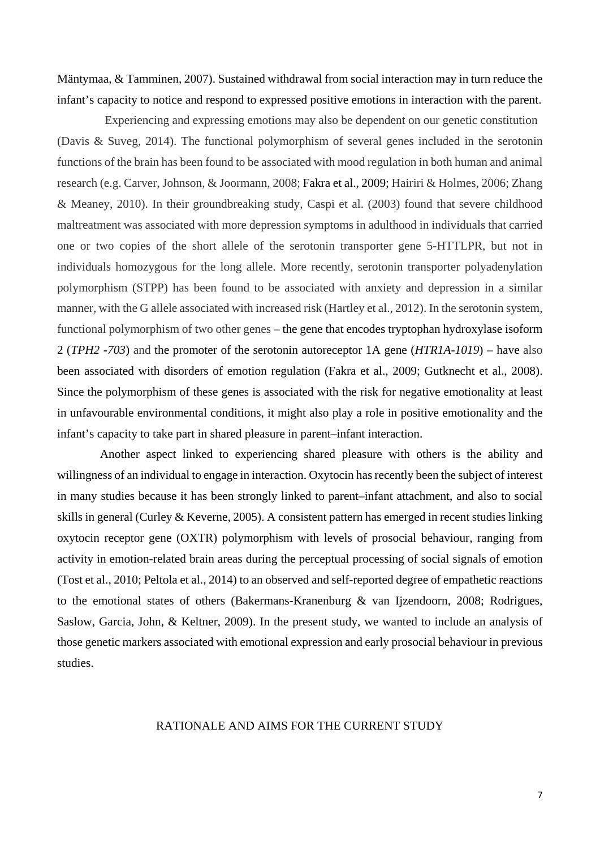Mäntymaa, & Tamminen, 2007). Sustained withdrawal from social interaction may in turn reduce the infant's capacity to notice and respond to expressed positive emotions in interaction with the parent.

Experiencing and expressing emotions may also be dependent on our genetic constitution (Davis & Suveg, 2014). The functional polymorphism of several genes included in the serotonin functions of the brain has been found to be associated with mood regulation in both human and animal research (e.g. Carver, Johnson, & Joormann, 2008; Fakra et al., 2009; Hairiri & Holmes, 2006; Zhang & Meaney, 2010). In their groundbreaking study, Caspi et al. (2003) found that severe childhood maltreatment was associated with more depression symptoms in adulthood in individuals that carried one or two copies of the short allele of the serotonin transporter gene 5-HTTLPR, but not in individuals homozygous for the long allele. More recently, serotonin transporter polyadenylation polymorphism (STPP) has been found to be associated with anxiety and depression in a similar manner, with the G allele associated with increased risk (Hartley et al., 2012). In the serotonin system, functional polymorphism of two other genes – the gene that encodes tryptophan hydroxylase isoform 2 (*TPH2 -703*) and the promoter of the serotonin autoreceptor 1A gene (*HTR1A-1019*) – have also been associated with disorders of emotion regulation (Fakra et al., 2009; Gutknecht et al., 2008). Since the polymorphism of these genes is associated with the risk for negative emotionality at least in unfavourable environmental conditions, it might also play a role in positive emotionality and the infant's capacity to take part in shared pleasure in parent–infant interaction.

Another aspect linked to experiencing shared pleasure with others is the ability and willingness of an individual to engage in interaction. Oxytocin has recently been the subject of interest in many studies because it has been strongly linked to parent–infant attachment, and also to social skills in general (Curley & Keverne, 2005). A consistent pattern has emerged in recent studies linking oxytocin receptor gene (OXTR) polymorphism with levels of prosocial behaviour, ranging from activity in emotion-related brain areas during the perceptual processing of social signals of emotion (Tost et al., 2010; Peltola et al., 2014) to an observed and self-reported degree of empathetic reactions to the emotional states of others (Bakermans-Kranenburg & van Ijzendoorn, 2008; Rodrigues, Saslow, Garcia, John, & Keltner, 2009). In the present study, we wanted to include an analysis of those genetic markers associated with emotional expression and early prosocial behaviour in previous studies.

# RATIONALE AND AIMS FOR THE CURRENT STUDY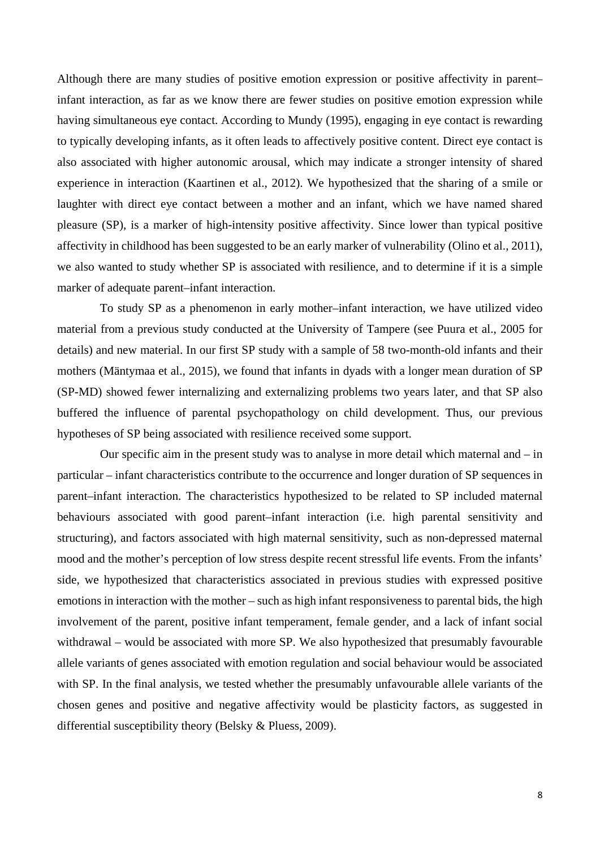Although there are many studies of positive emotion expression or positive affectivity in parent– infant interaction, as far as we know there are fewer studies on positive emotion expression while having simultaneous eye contact. According to Mundy (1995), engaging in eye contact is rewarding to typically developing infants, as it often leads to affectively positive content. Direct eye contact is also associated with higher autonomic arousal, which may indicate a stronger intensity of shared experience in interaction (Kaartinen et al., 2012). We hypothesized that the sharing of a smile or laughter with direct eye contact between a mother and an infant, which we have named shared pleasure (SP), is a marker of high-intensity positive affectivity. Since lower than typical positive affectivity in childhood has been suggested to be an early marker of vulnerability (Olino et al., 2011), we also wanted to study whether SP is associated with resilience, and to determine if it is a simple marker of adequate parent–infant interaction.

To study SP as a phenomenon in early mother–infant interaction, we have utilized video material from a previous study conducted at the University of Tampere (see Puura et al., 2005 for details) and new material. In our first SP study with a sample of 58 two-month-old infants and their mothers (Mäntymaa et al., 2015), we found that infants in dyads with a longer mean duration of SP (SP-MD) showed fewer internalizing and externalizing problems two years later, and that SP also buffered the influence of parental psychopathology on child development. Thus, our previous hypotheses of SP being associated with resilience received some support.

Our specific aim in the present study was to analyse in more detail which maternal and – in particular – infant characteristics contribute to the occurrence and longer duration of SP sequences in parent–infant interaction. The characteristics hypothesized to be related to SP included maternal behaviours associated with good parent–infant interaction (i.e. high parental sensitivity and structuring), and factors associated with high maternal sensitivity, such as non-depressed maternal mood and the mother's perception of low stress despite recent stressful life events. From the infants' side, we hypothesized that characteristics associated in previous studies with expressed positive emotions in interaction with the mother – such as high infant responsiveness to parental bids, the high involvement of the parent, positive infant temperament, female gender, and a lack of infant social withdrawal – would be associated with more SP. We also hypothesized that presumably favourable allele variants of genes associated with emotion regulation and social behaviour would be associated with SP. In the final analysis, we tested whether the presumably unfavourable allele variants of the chosen genes and positive and negative affectivity would be plasticity factors, as suggested in differential susceptibility theory (Belsky & Pluess, 2009).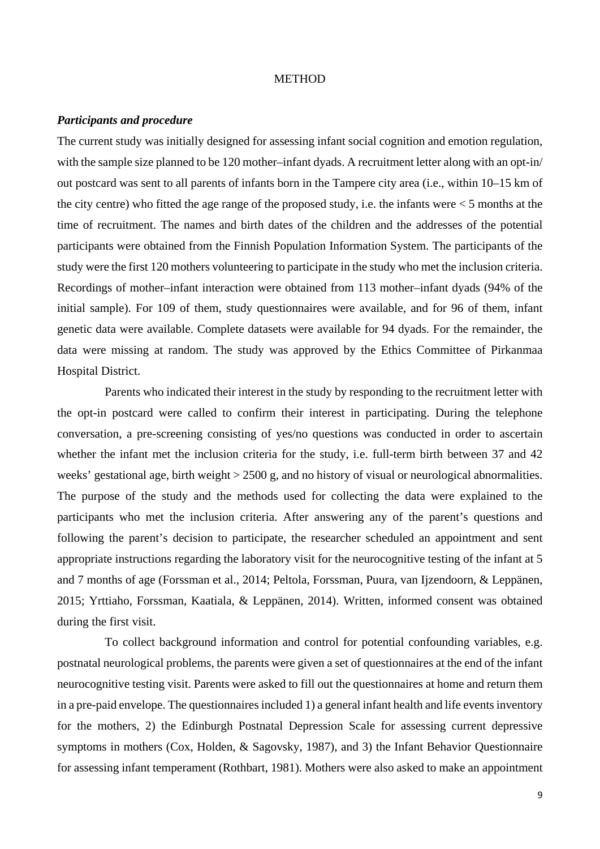#### **METHOD**

#### *Participants and procedure*

The current study was initially designed for assessing infant social cognition and emotion regulation, with the sample size planned to be 120 mother–infant dyads. A recruitment letter along with an opt-in/ out postcard was sent to all parents of infants born in the Tampere city area (i.e., within 10–15 km of the city centre) who fitted the age range of the proposed study, i.e. the infants were  $\lt 5$  months at the time of recruitment. The names and birth dates of the children and the addresses of the potential participants were obtained from the Finnish Population Information System. The participants of the study were the first 120 mothers volunteering to participate in the study who met the inclusion criteria. Recordings of mother–infant interaction were obtained from 113 mother–infant dyads (94% of the initial sample). For 109 of them, study questionnaires were available, and for 96 of them, infant genetic data were available. Complete datasets were available for 94 dyads. For the remainder, the data were missing at random. The study was approved by the Ethics Committee of Pirkanmaa Hospital District.

Parents who indicated their interest in the study by responding to the recruitment letter with the opt-in postcard were called to confirm their interest in participating. During the telephone conversation, a pre-screening consisting of yes/no questions was conducted in order to ascertain whether the infant met the inclusion criteria for the study, i.e. full-term birth between 37 and 42 weeks' gestational age, birth weight > 2500 g, and no history of visual or neurological abnormalities. The purpose of the study and the methods used for collecting the data were explained to the participants who met the inclusion criteria. After answering any of the parent's questions and following the parent's decision to participate, the researcher scheduled an appointment and sent appropriate instructions regarding the laboratory visit for the neurocognitive testing of the infant at 5 and 7 months of age (Forssman et al., 2014; Peltola, Forssman, Puura, van Ijzendoorn, & Leppänen, 2015; Yrttiaho, Forssman, Kaatiala, & Leppänen, 2014). Written, informed consent was obtained during the first visit.

To collect background information and control for potential confounding variables, e.g. postnatal neurological problems, the parents were given a set of questionnaires at the end of the infant neurocognitive testing visit. Parents were asked to fill out the questionnaires at home and return them in a pre-paid envelope. The questionnaires included 1) a general infant health and life events inventory for the mothers, 2) the Edinburgh Postnatal Depression Scale for assessing current depressive symptoms in mothers (Cox, Holden, & Sagovsky, 1987), and 3) the Infant Behavior Questionnaire for assessing infant temperament (Rothbart, 1981). Mothers were also asked to make an appointment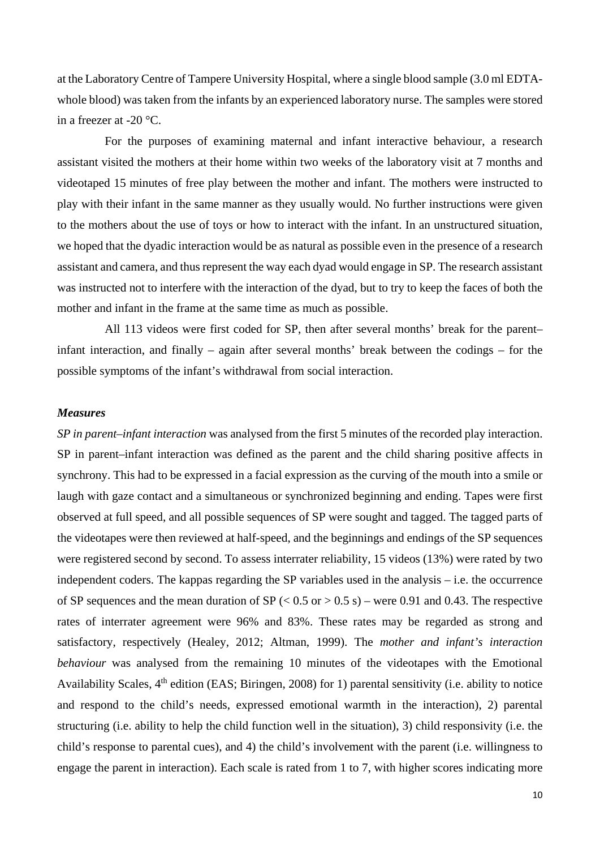at the Laboratory Centre of Tampere University Hospital, where a single blood sample (3.0 ml EDTAwhole blood) was taken from the infants by an experienced laboratory nurse. The samples were stored in a freezer at -20 °C.

For the purposes of examining maternal and infant interactive behaviour, a research assistant visited the mothers at their home within two weeks of the laboratory visit at 7 months and videotaped 15 minutes of free play between the mother and infant. The mothers were instructed to play with their infant in the same manner as they usually would. No further instructions were given to the mothers about the use of toys or how to interact with the infant. In an unstructured situation, we hoped that the dyadic interaction would be as natural as possible even in the presence of a research assistant and camera, and thus represent the way each dyad would engage in SP. The research assistant was instructed not to interfere with the interaction of the dyad, but to try to keep the faces of both the mother and infant in the frame at the same time as much as possible.

All 113 videos were first coded for SP, then after several months' break for the parent– infant interaction, and finally – again after several months' break between the codings – for the possible symptoms of the infant's withdrawal from social interaction.

### *Measures*

*SP in parent–infant interaction* was analysed from the first 5 minutes of the recorded play interaction. SP in parent–infant interaction was defined as the parent and the child sharing positive affects in synchrony. This had to be expressed in a facial expression as the curving of the mouth into a smile or laugh with gaze contact and a simultaneous or synchronized beginning and ending. Tapes were first observed at full speed, and all possible sequences of SP were sought and tagged. The tagged parts of the videotapes were then reviewed at half-speed, and the beginnings and endings of the SP sequences were registered second by second. To assess interrater reliability, 15 videos (13%) were rated by two independent coders. The kappas regarding the SP variables used in the analysis – i.e. the occurrence of SP sequences and the mean duration of SP ( $< 0.5$  or  $> 0.5$  s) – were 0.91 and 0.43. The respective rates of interrater agreement were 96% and 83%. These rates may be regarded as strong and satisfactory, respectively (Healey, 2012; Altman, 1999). The *mother and infant's interaction behaviour* was analysed from the remaining 10 minutes of the videotapes with the Emotional Availability Scales, 4<sup>th</sup> edition (EAS; Biringen, 2008) for 1) parental sensitivity (i.e. ability to notice and respond to the child's needs, expressed emotional warmth in the interaction), 2) parental structuring (i.e. ability to help the child function well in the situation), 3) child responsivity (i.e. the child's response to parental cues), and 4) the child's involvement with the parent (i.e. willingness to engage the parent in interaction). Each scale is rated from 1 to 7, with higher scores indicating more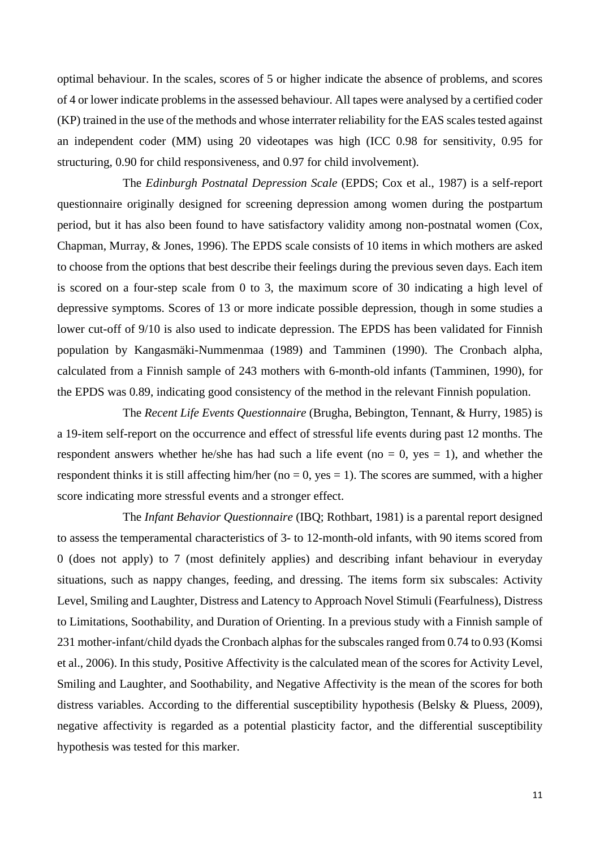optimal behaviour. In the scales, scores of 5 or higher indicate the absence of problems, and scores of 4 or lower indicate problems in the assessed behaviour. All tapes were analysed by a certified coder (KP) trained in the use of the methods and whose interrater reliability for the EAS scales tested against an independent coder (MM) using 20 videotapes was high (ICC 0.98 for sensitivity, 0.95 for structuring, 0.90 for child responsiveness, and 0.97 for child involvement).

The *Edinburgh Postnatal Depression Scale* (EPDS; Cox et al., 1987) is a self-report questionnaire originally designed for screening depression among women during the postpartum period, but it has also been found to have satisfactory validity among non-postnatal women (Cox, Chapman, Murray, & Jones, 1996). The EPDS scale consists of 10 items in which mothers are asked to choose from the options that best describe their feelings during the previous seven days. Each item is scored on a four-step scale from 0 to 3, the maximum score of 30 indicating a high level of depressive symptoms. Scores of 13 or more indicate possible depression, though in some studies a lower cut-off of 9/10 is also used to indicate depression. The EPDS has been validated for Finnish population by Kangasmäki-Nummenmaa (1989) and Tamminen (1990). The Cronbach alpha, calculated from a Finnish sample of 243 mothers with 6-month-old infants (Tamminen, 1990), for the EPDS was 0.89, indicating good consistency of the method in the relevant Finnish population.

The *Recent Life Events Questionnaire* (Brugha, Bebington, Tennant, & Hurry, 1985) is a 19-item self-report on the occurrence and effect of stressful life events during past 12 months. The respondent answers whether he/she has had such a life event ( $no = 0$ ,  $ves = 1$ ), and whether the respondent thinks it is still affecting him/her (no  $= 0$ , yes  $= 1$ ). The scores are summed, with a higher score indicating more stressful events and a stronger effect.

The *Infant Behavior Questionnaire* (IBQ; Rothbart, 1981) is a parental report designed to assess the temperamental characteristics of 3- to 12-month-old infants, with 90 items scored from 0 (does not apply) to 7 (most definitely applies) and describing infant behaviour in everyday situations, such as nappy changes, feeding, and dressing. The items form six subscales: Activity Level, Smiling and Laughter, Distress and Latency to Approach Novel Stimuli (Fearfulness), Distress to Limitations, Soothability, and Duration of Orienting. In a previous study with a Finnish sample of 231 mother-infant/child dyads the Cronbach alphas for the subscales ranged from 0.74 to 0.93 (Komsi et al., 2006). In this study, Positive Affectivity is the calculated mean of the scores for Activity Level, Smiling and Laughter, and Soothability, and Negative Affectivity is the mean of the scores for both distress variables. According to the differential susceptibility hypothesis (Belsky & Pluess, 2009), negative affectivity is regarded as a potential plasticity factor, and the differential susceptibility hypothesis was tested for this marker.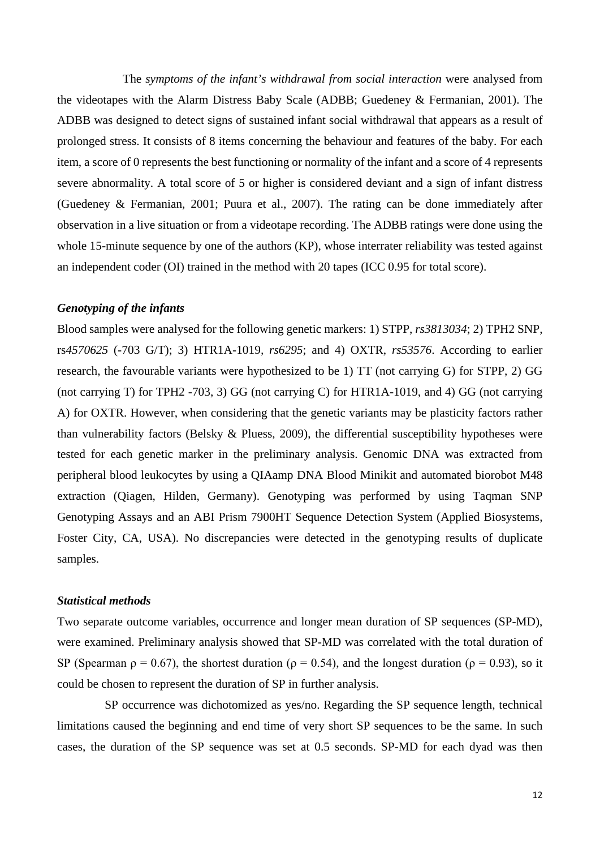The *symptoms of the infant's withdrawal from social interaction* were analysed from the videotapes with the Alarm Distress Baby Scale (ADBB; Guedeney & Fermanian, 2001). The ADBB was designed to detect signs of sustained infant social withdrawal that appears as a result of prolonged stress. It consists of 8 items concerning the behaviour and features of the baby. For each item, a score of 0 represents the best functioning or normality of the infant and a score of 4 represents severe abnormality. A total score of 5 or higher is considered deviant and a sign of infant distress (Guedeney & Fermanian, 2001; Puura et al., 2007). The rating can be done immediately after observation in a live situation or from a videotape recording. The ADBB ratings were done using the whole 15-minute sequence by one of the authors (KP), whose interrater reliability was tested against an independent coder (OI) trained in the method with 20 tapes (ICC 0.95 for total score).

### *Genotyping of the infants*

Blood samples were analysed for the following genetic markers: 1) STPP, *rs3813034*; 2) TPH2 SNP, rs*4570625* (-703 G/T); 3) HTR1A-1019*, rs6295*; and 4) OXTR, *rs53576*. According to earlier research, the favourable variants were hypothesized to be 1) TT (not carrying G) for STPP, 2) GG (not carrying T) for TPH2 -703, 3) GG (not carrying C) for HTR1A-1019, and 4) GG (not carrying A) for OXTR. However, when considering that the genetic variants may be plasticity factors rather than vulnerability factors (Belsky & Pluess, 2009), the differential susceptibility hypotheses were tested for each genetic marker in the preliminary analysis. Genomic DNA was extracted from peripheral blood leukocytes by using a QIAamp DNA Blood Minikit and automated biorobot M48 extraction (Qiagen, Hilden, Germany). Genotyping was performed by using Taqman SNP Genotyping Assays and an ABI Prism 7900HT Sequence Detection System (Applied Biosystems, Foster City, CA, USA). No discrepancies were detected in the genotyping results of duplicate samples.

# *Statistical methods*

Two separate outcome variables, occurrence and longer mean duration of SP sequences (SP-MD), were examined. Preliminary analysis showed that SP-MD was correlated with the total duration of SP (Spearman  $\rho = 0.67$ ), the shortest duration ( $\rho = 0.54$ ), and the longest duration ( $\rho = 0.93$ ), so it could be chosen to represent the duration of SP in further analysis.

SP occurrence was dichotomized as yes/no. Regarding the SP sequence length, technical limitations caused the beginning and end time of very short SP sequences to be the same. In such cases, the duration of the SP sequence was set at 0.5 seconds. SP-MD for each dyad was then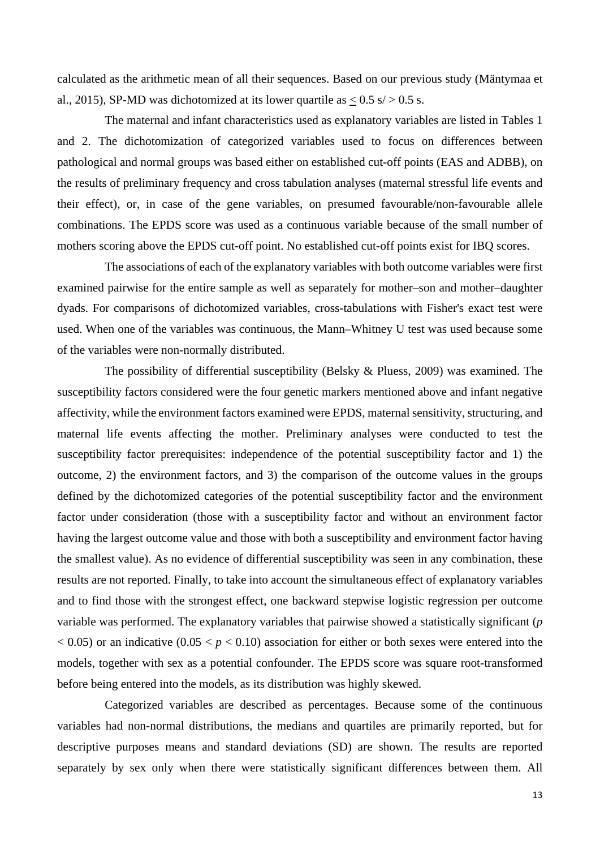calculated as the arithmetic mean of all their sequences. Based on our previous study (Mäntymaa et al., 2015), SP-MD was dichotomized at its lower quartile as  $\langle 0.5 \text{ s}/\rangle 0.5 \text{ s}$ .

The maternal and infant characteristics used as explanatory variables are listed in Tables 1 and 2. The dichotomization of categorized variables used to focus on differences between pathological and normal groups was based either on established cut-off points (EAS and ADBB), on the results of preliminary frequency and cross tabulation analyses (maternal stressful life events and their effect), or, in case of the gene variables, on presumed favourable/non-favourable allele combinations. The EPDS score was used as a continuous variable because of the small number of mothers scoring above the EPDS cut-off point. No established cut-off points exist for IBQ scores.

The associations of each of the explanatory variables with both outcome variables were first examined pairwise for the entire sample as well as separately for mother–son and mother–daughter dyads. For comparisons of dichotomized variables, cross-tabulations with Fisher's exact test were used. When one of the variables was continuous, the Mann–Whitney U test was used because some of the variables were non-normally distributed.

The possibility of differential susceptibility (Belsky & Pluess, 2009) was examined. The susceptibility factors considered were the four genetic markers mentioned above and infant negative affectivity, while the environment factors examined were EPDS, maternal sensitivity, structuring, and maternal life events affecting the mother. Preliminary analyses were conducted to test the susceptibility factor prerequisites: independence of the potential susceptibility factor and 1) the outcome, 2) the environment factors, and 3) the comparison of the outcome values in the groups defined by the dichotomized categories of the potential susceptibility factor and the environment factor under consideration (those with a susceptibility factor and without an environment factor having the largest outcome value and those with both a susceptibility and environment factor having the smallest value). As no evidence of differential susceptibility was seen in any combination, these results are not reported. Finally, to take into account the simultaneous effect of explanatory variables and to find those with the strongest effect, one backward stepwise logistic regression per outcome variable was performed. The explanatory variables that pairwise showed a statistically significant (*p*  $(0.05)$  or an indicative  $(0.05 < p < 0.10)$  association for either or both sexes were entered into the models, together with sex as a potential confounder. The EPDS score was square root-transformed before being entered into the models, as its distribution was highly skewed.

Categorized variables are described as percentages. Because some of the continuous variables had non-normal distributions, the medians and quartiles are primarily reported, but for descriptive purposes means and standard deviations (SD) are shown. The results are reported separately by sex only when there were statistically significant differences between them. All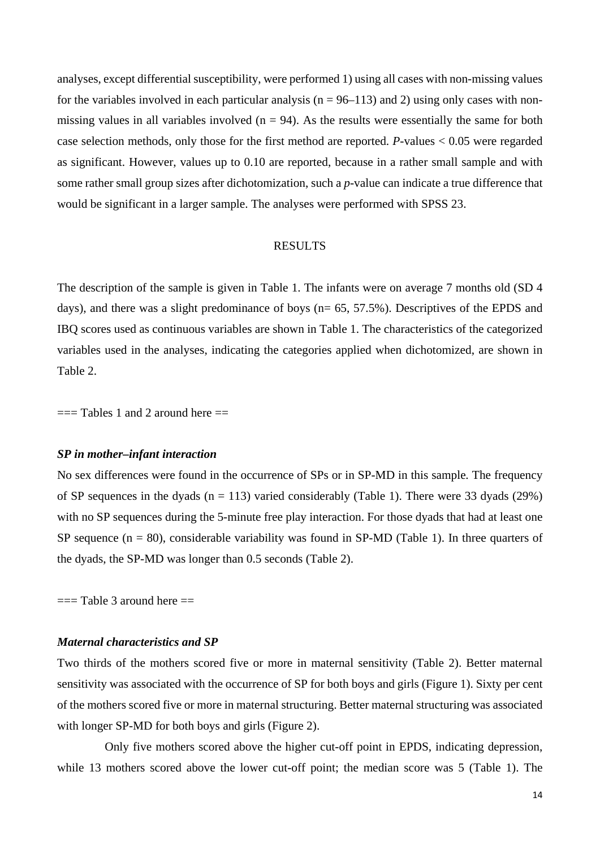analyses, except differential susceptibility, were performed 1) using all cases with non-missing values for the variables involved in each particular analysis ( $n = 96-113$ ) and 2) using only cases with nonmissing values in all variables involved  $(n = 94)$ . As the results were essentially the same for both case selection methods, only those for the first method are reported. *P*-values < 0.05 were regarded as significant. However, values up to 0.10 are reported, because in a rather small sample and with some rather small group sizes after dichotomization, such a *p*-value can indicate a true difference that would be significant in a larger sample. The analyses were performed with SPSS 23.

#### RESULTS

The description of the sample is given in Table 1. The infants were on average 7 months old (SD 4 days), and there was a slight predominance of boys (n= 65, 57.5%). Descriptives of the EPDS and IBQ scores used as continuous variables are shown in Table 1. The characteristics of the categorized variables used in the analyses, indicating the categories applied when dichotomized, are shown in Table 2.

 $==$  Tables 1 and 2 around here  $==$ 

#### *SP in mother–infant interaction*

No sex differences were found in the occurrence of SPs or in SP-MD in this sample*.* The frequency of SP sequences in the dyads ( $n = 113$ ) varied considerably (Table 1). There were 33 dyads (29%) with no SP sequences during the 5-minute free play interaction. For those dyads that had at least one SP sequence  $(n = 80)$ , considerable variability was found in SP-MD (Table 1). In three quarters of the dyads, the SP-MD was longer than 0.5 seconds (Table 2).

 $==$  Table 3 around here  $==$ 

#### *Maternal characteristics and SP*

Two thirds of the mothers scored five or more in maternal sensitivity (Table 2). Better maternal sensitivity was associated with the occurrence of SP for both boys and girls (Figure 1). Sixty per cent of the mothers scored five or more in maternal structuring. Better maternal structuring was associated with longer SP-MD for both boys and girls (Figure 2).

Only five mothers scored above the higher cut-off point in EPDS, indicating depression, while 13 mothers scored above the lower cut-off point; the median score was 5 (Table 1). The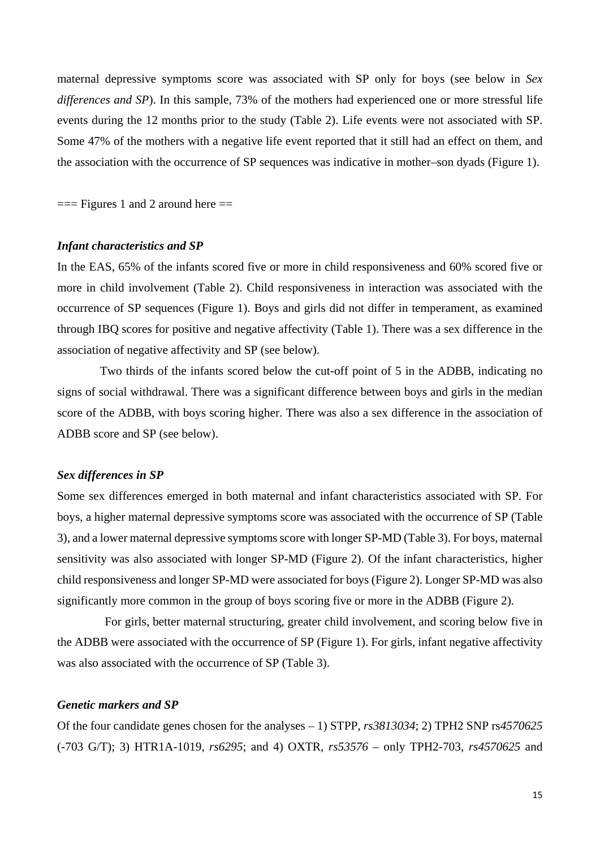maternal depressive symptoms score was associated with SP only for boys (see below in *Sex differences and SP*). In this sample, 73% of the mothers had experienced one or more stressful life events during the 12 months prior to the study (Table 2). Life events were not associated with SP. Some 47% of the mothers with a negative life event reported that it still had an effect on them, and the association with the occurrence of SP sequences was indicative in mother–son dyads (Figure 1).

 $==$  Figures 1 and 2 around here  $==$ 

#### *Infant characteristics and SP*

In the EAS, 65% of the infants scored five or more in child responsiveness and 60% scored five or more in child involvement (Table 2). Child responsiveness in interaction was associated with the occurrence of SP sequences (Figure 1). Boys and girls did not differ in temperament, as examined through IBQ scores for positive and negative affectivity (Table 1). There was a sex difference in the association of negative affectivity and SP (see below).

Two thirds of the infants scored below the cut-off point of 5 in the ADBB, indicating no signs of social withdrawal. There was a significant difference between boys and girls in the median score of the ADBB, with boys scoring higher. There was also a sex difference in the association of ADBB score and SP (see below).

### *Sex differences in SP*

Some sex differences emerged in both maternal and infant characteristics associated with SP. For boys, a higher maternal depressive symptoms score was associated with the occurrence of SP (Table 3), and a lower maternal depressive symptoms score with longer SP-MD (Table 3). For boys, maternal sensitivity was also associated with longer SP-MD (Figure 2). Of the infant characteristics, higher child responsiveness and longer SP-MD were associated for boys (Figure 2). Longer SP-MD was also significantly more common in the group of boys scoring five or more in the ADBB (Figure 2).

For girls, better maternal structuring, greater child involvement, and scoring below five in the ADBB were associated with the occurrence of SP (Figure 1). For girls, infant negative affectivity was also associated with the occurrence of SP (Table 3).

## *Genetic markers and SP*

Of the four candidate genes chosen for the analyses – 1) STPP, *rs3813034*; 2) TPH2 SNP rs*4570625*  (-703 G/T); 3) HTR1A-1019, *rs6295*; and 4) OXTR, *rs53576 –* only TPH2-703, *rs4570625* and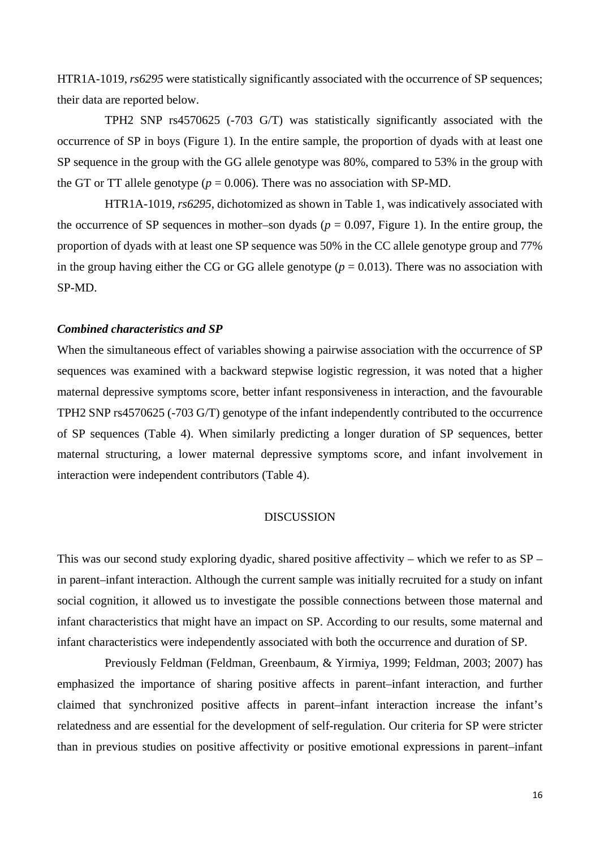HTR1A-1019, *rs6295* were statistically significantly associated with the occurrence of SP sequences; their data are reported below.

TPH2 SNP rs4570625 (-703 G/T) was statistically significantly associated with the occurrence of SP in boys (Figure 1). In the entire sample, the proportion of dyads with at least one SP sequence in the group with the GG allele genotype was 80%, compared to 53% in the group with the GT or TT allele genotype ( $p = 0.006$ ). There was no association with SP-MD.

HTR1A-1019, *rs6295*, dichotomized as shown in Table 1, was indicatively associated with the occurrence of SP sequences in mother–son dyads ( $p = 0.097$ , Figure 1). In the entire group, the proportion of dyads with at least one SP sequence was 50% in the CC allele genotype group and 77% in the group having either the CG or GG allele genotype  $(p = 0.013)$ . There was no association with SP-MD.

# *Combined characteristics and SP*

When the simultaneous effect of variables showing a pairwise association with the occurrence of SP sequences was examined with a backward stepwise logistic regression, it was noted that a higher maternal depressive symptoms score, better infant responsiveness in interaction, and the favourable TPH2 SNP rs4570625 (-703 G/T) genotype of the infant independently contributed to the occurrence of SP sequences (Table 4). When similarly predicting a longer duration of SP sequences, better maternal structuring, a lower maternal depressive symptoms score, and infant involvement in interaction were independent contributors (Table 4).

## DISCUSSION

This was our second study exploring dyadic, shared positive affectivity – which we refer to as SP – in parent–infant interaction. Although the current sample was initially recruited for a study on infant social cognition, it allowed us to investigate the possible connections between those maternal and infant characteristics that might have an impact on SP. According to our results, some maternal and infant characteristics were independently associated with both the occurrence and duration of SP.

Previously Feldman (Feldman, Greenbaum, & Yirmiya, 1999; Feldman, 2003; 2007) has emphasized the importance of sharing positive affects in parent–infant interaction, and further claimed that synchronized positive affects in parent–infant interaction increase the infant's relatedness and are essential for the development of self-regulation. Our criteria for SP were stricter than in previous studies on positive affectivity or positive emotional expressions in parent–infant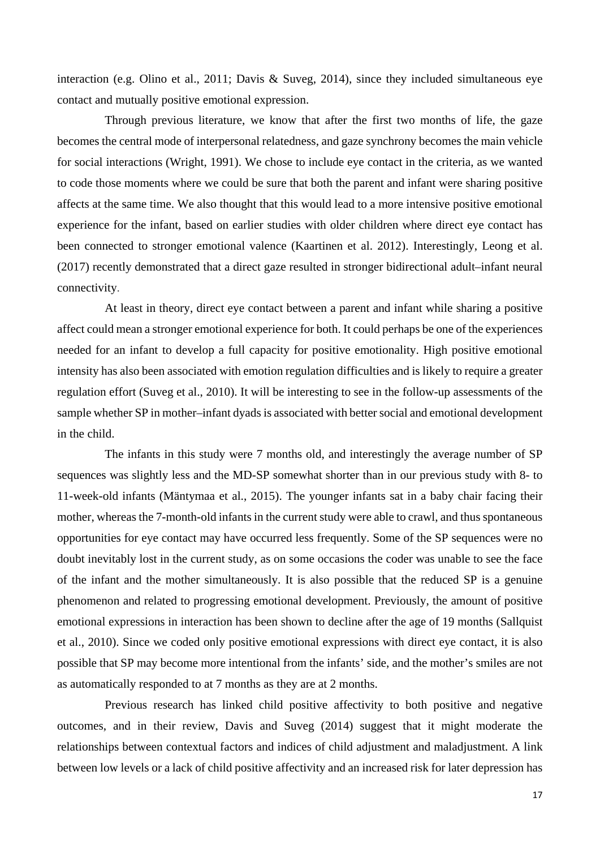interaction (e.g. Olino et al., 2011; Davis & Suveg, 2014), since they included simultaneous eye contact and mutually positive emotional expression.

Through previous literature, we know that after the first two months of life, the gaze becomes the central mode of interpersonal relatedness, and gaze synchrony becomes the main vehicle for social interactions (Wright, 1991). We chose to include eye contact in the criteria, as we wanted to code those moments where we could be sure that both the parent and infant were sharing positive affects at the same time. We also thought that this would lead to a more intensive positive emotional experience for the infant, based on earlier studies with older children where direct eye contact has been connected to stronger emotional valence (Kaartinen et al. 2012). Interestingly, Leong et al. (2017) recently demonstrated that a direct gaze resulted in stronger bidirectional adult–infant neural connectivity.

At least in theory, direct eye contact between a parent and infant while sharing a positive affect could mean a stronger emotional experience for both. It could perhaps be one of the experiences needed for an infant to develop a full capacity for positive emotionality. High positive emotional intensity has also been associated with emotion regulation difficulties and is likely to require a greater regulation effort (Suveg et al., 2010). It will be interesting to see in the follow-up assessments of the sample whether SP in mother–infant dyads is associated with better social and emotional development in the child.

The infants in this study were 7 months old, and interestingly the average number of SP sequences was slightly less and the MD-SP somewhat shorter than in our previous study with 8- to 11-week-old infants (Mäntymaa et al., 2015). The younger infants sat in a baby chair facing their mother, whereas the 7-month-old infants in the current study were able to crawl, and thus spontaneous opportunities for eye contact may have occurred less frequently. Some of the SP sequences were no doubt inevitably lost in the current study, as on some occasions the coder was unable to see the face of the infant and the mother simultaneously. It is also possible that the reduced SP is a genuine phenomenon and related to progressing emotional development. Previously, the amount of positive emotional expressions in interaction has been shown to decline after the age of 19 months (Sallquist et al., 2010). Since we coded only positive emotional expressions with direct eye contact, it is also possible that SP may become more intentional from the infants' side, and the mother's smiles are not as automatically responded to at 7 months as they are at 2 months.

Previous research has linked child positive affectivity to both positive and negative outcomes, and in their review, Davis and Suveg (2014) suggest that it might moderate the relationships between contextual factors and indices of child adjustment and maladjustment. A link between low levels or a lack of child positive affectivity and an increased risk for later depression has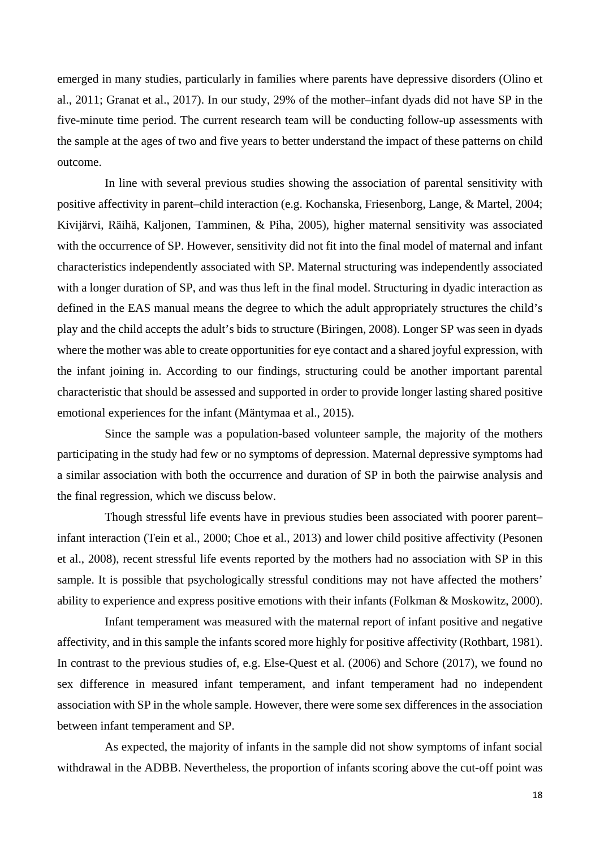emerged in many studies, particularly in families where parents have depressive disorders (Olino et al., 2011; Granat et al., 2017). In our study, 29% of the mother–infant dyads did not have SP in the five-minute time period. The current research team will be conducting follow-up assessments with the sample at the ages of two and five years to better understand the impact of these patterns on child outcome.

In line with several previous studies showing the association of parental sensitivity with positive affectivity in parent–child interaction (e.g. Kochanska, Friesenborg, Lange, & Martel, 2004; Kivijärvi, Räihä, Kaljonen, Tamminen, & Piha, 2005), higher maternal sensitivity was associated with the occurrence of SP. However, sensitivity did not fit into the final model of maternal and infant characteristics independently associated with SP. Maternal structuring was independently associated with a longer duration of SP, and was thus left in the final model. Structuring in dyadic interaction as defined in the EAS manual means the degree to which the adult appropriately structures the child's play and the child accepts the adult's bids to structure (Biringen, 2008). Longer SP was seen in dyads where the mother was able to create opportunities for eye contact and a shared joyful expression, with the infant joining in. According to our findings, structuring could be another important parental characteristic that should be assessed and supported in order to provide longer lasting shared positive emotional experiences for the infant (Mäntymaa et al., 2015).

Since the sample was a population-based volunteer sample, the majority of the mothers participating in the study had few or no symptoms of depression. Maternal depressive symptoms had a similar association with both the occurrence and duration of SP in both the pairwise analysis and the final regression, which we discuss below.

Though stressful life events have in previous studies been associated with poorer parent– infant interaction (Tein et al., 2000; Choe et al., 2013) and lower child positive affectivity (Pesonen et al., 2008), recent stressful life events reported by the mothers had no association with SP in this sample. It is possible that psychologically stressful conditions may not have affected the mothers' ability to experience and express positive emotions with their infants (Folkman & Moskowitz, 2000).

Infant temperament was measured with the maternal report of infant positive and negative affectivity, and in this sample the infants scored more highly for positive affectivity (Rothbart, 1981). In contrast to the previous studies of, e.g. Else-Quest et al. (2006) and Schore (2017), we found no sex difference in measured infant temperament, and infant temperament had no independent association with SP in the whole sample. However, there were some sex differences in the association between infant temperament and SP.

As expected, the majority of infants in the sample did not show symptoms of infant social withdrawal in the ADBB. Nevertheless, the proportion of infants scoring above the cut-off point was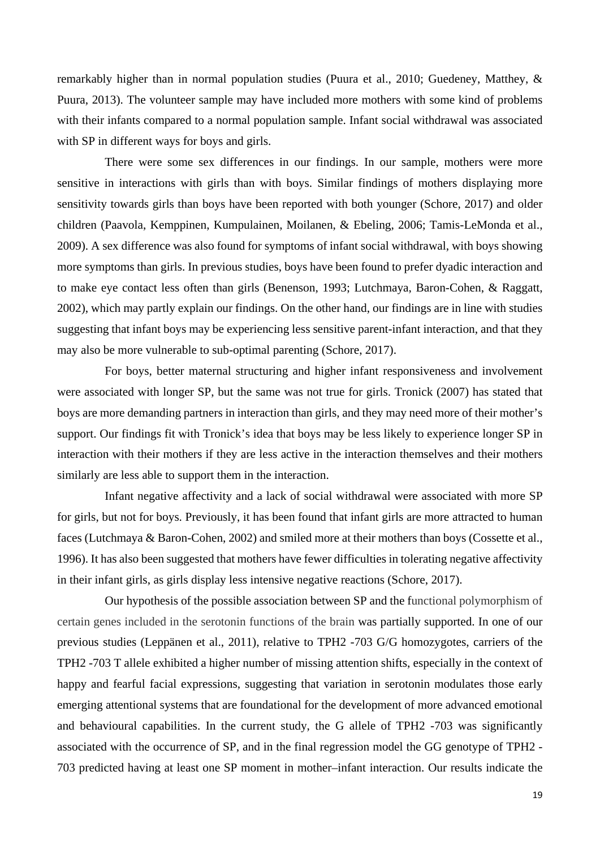remarkably higher than in normal population studies (Puura et al., 2010; Guedeney, Matthey, & Puura, 2013). The volunteer sample may have included more mothers with some kind of problems with their infants compared to a normal population sample. Infant social withdrawal was associated with SP in different ways for boys and girls.

There were some sex differences in our findings. In our sample, mothers were more sensitive in interactions with girls than with boys. Similar findings of mothers displaying more sensitivity towards girls than boys have been reported with both younger (Schore, 2017) and older children (Paavola, Kemppinen, Kumpulainen, Moilanen, & Ebeling, 2006; Tamis-LeMonda et al., 2009). A sex difference was also found for symptoms of infant social withdrawal, with boys showing more symptoms than girls. In previous studies, boys have been found to prefer dyadic interaction and to make eye contact less often than girls (Benenson, 1993; Lutchmaya, Baron-Cohen, & Raggatt, 2002), which may partly explain our findings. On the other hand, our findings are in line with studies suggesting that infant boys may be experiencing less sensitive parent-infant interaction, and that they may also be more vulnerable to sub-optimal parenting (Schore, 2017).

For boys, better maternal structuring and higher infant responsiveness and involvement were associated with longer SP, but the same was not true for girls. Tronick (2007) has stated that boys are more demanding partners in interaction than girls, and they may need more of their mother's support. Our findings fit with Tronick's idea that boys may be less likely to experience longer SP in interaction with their mothers if they are less active in the interaction themselves and their mothers similarly are less able to support them in the interaction.

Infant negative affectivity and a lack of social withdrawal were associated with more SP for girls, but not for boys. Previously, it has been found that infant girls are more attracted to human faces (Lutchmaya & Baron-Cohen, 2002) and smiled more at their mothers than boys (Cossette et al., 1996). It has also been suggested that mothers have fewer difficulties in tolerating negative affectivity in their infant girls, as girls display less intensive negative reactions (Schore, 2017).

Our hypothesis of the possible association between SP and the functional polymorphism of certain genes included in the serotonin functions of the brain was partially supported. In one of our previous studies (Leppänen et al., 2011), relative to TPH2 -703 G/G homozygotes, carriers of the TPH2 -703 T allele exhibited a higher number of missing attention shifts, especially in the context of happy and fearful facial expressions, suggesting that variation in serotonin modulates those early emerging attentional systems that are foundational for the development of more advanced emotional and behavioural capabilities. In the current study, the G allele of TPH2 -703 was significantly associated with the occurrence of SP, and in the final regression model the GG genotype of TPH2 - 703 predicted having at least one SP moment in mother–infant interaction. Our results indicate the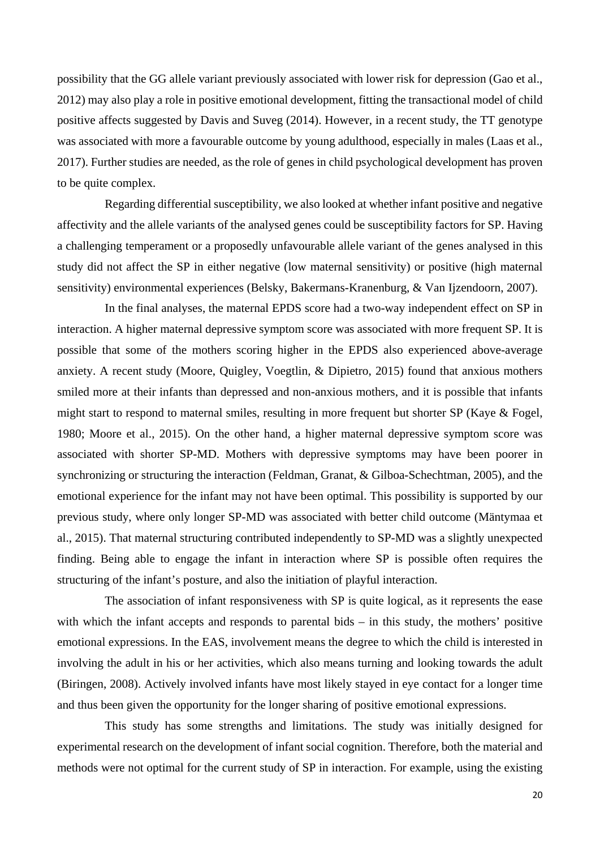possibility that the GG allele variant previously associated with lower risk for depression (Gao et al., 2012) may also play a role in positive emotional development, fitting the transactional model of child positive affects suggested by Davis and Suveg (2014). However, in a recent study, the TT genotype was associated with more a favourable outcome by young adulthood, especially in males (Laas et al., 2017). Further studies are needed, as the role of genes in child psychological development has proven to be quite complex.

Regarding differential susceptibility, we also looked at whether infant positive and negative affectivity and the allele variants of the analysed genes could be susceptibility factors for SP. Having a challenging temperament or a proposedly unfavourable allele variant of the genes analysed in this study did not affect the SP in either negative (low maternal sensitivity) or positive (high maternal sensitivity) environmental experiences (Belsky, Bakermans-Kranenburg, & Van Ijzendoorn, 2007).

In the final analyses, the maternal EPDS score had a two-way independent effect on SP in interaction. A higher maternal depressive symptom score was associated with more frequent SP. It is possible that some of the mothers scoring higher in the EPDS also experienced above-average anxiety. A recent study (Moore, Quigley, Voegtlin, & Dipietro, 2015) found that anxious mothers smiled more at their infants than depressed and non-anxious mothers, and it is possible that infants might start to respond to maternal smiles, resulting in more frequent but shorter SP (Kaye & Fogel, 1980; Moore et al., 2015). On the other hand, a higher maternal depressive symptom score was associated with shorter SP-MD. Mothers with depressive symptoms may have been poorer in synchronizing or structuring the interaction (Feldman, Granat, & Gilboa-Schechtman, 2005), and the emotional experience for the infant may not have been optimal. This possibility is supported by our previous study, where only longer SP-MD was associated with better child outcome (Mäntymaa et al., 2015). That maternal structuring contributed independently to SP-MD was a slightly unexpected finding. Being able to engage the infant in interaction where SP is possible often requires the structuring of the infant's posture, and also the initiation of playful interaction.

The association of infant responsiveness with SP is quite logical, as it represents the ease with which the infant accepts and responds to parental bids – in this study, the mothers' positive emotional expressions. In the EAS, involvement means the degree to which the child is interested in involving the adult in his or her activities, which also means turning and looking towards the adult (Biringen, 2008). Actively involved infants have most likely stayed in eye contact for a longer time and thus been given the opportunity for the longer sharing of positive emotional expressions.

This study has some strengths and limitations. The study was initially designed for experimental research on the development of infant social cognition. Therefore, both the material and methods were not optimal for the current study of SP in interaction. For example, using the existing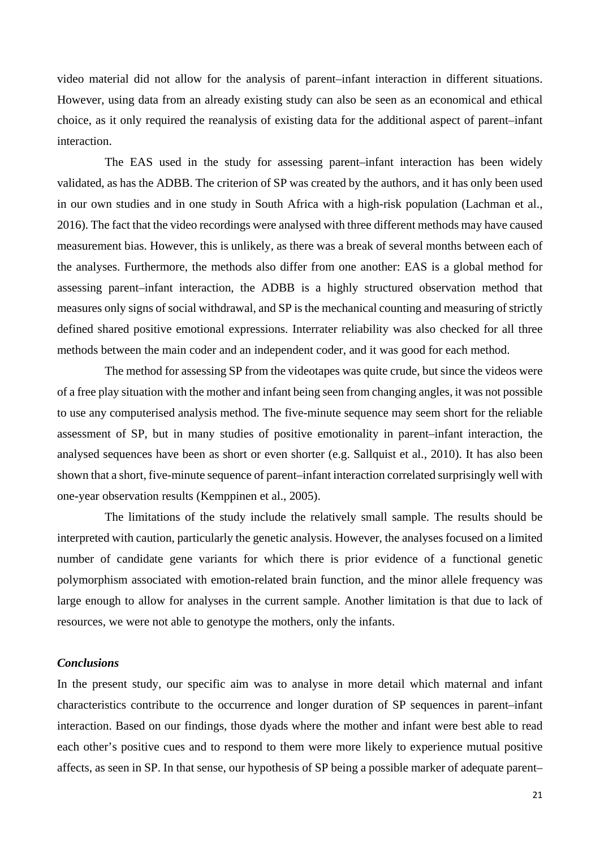video material did not allow for the analysis of parent–infant interaction in different situations. However, using data from an already existing study can also be seen as an economical and ethical choice, as it only required the reanalysis of existing data for the additional aspect of parent–infant interaction.

The EAS used in the study for assessing parent–infant interaction has been widely validated, as has the ADBB. The criterion of SP was created by the authors, and it has only been used in our own studies and in one study in South Africa with a high-risk population (Lachman et al., 2016). The fact that the video recordings were analysed with three different methods may have caused measurement bias. However, this is unlikely, as there was a break of several months between each of the analyses. Furthermore, the methods also differ from one another: EAS is a global method for assessing parent–infant interaction, the ADBB is a highly structured observation method that measures only signs of social withdrawal, and SP is the mechanical counting and measuring of strictly defined shared positive emotional expressions. Interrater reliability was also checked for all three methods between the main coder and an independent coder, and it was good for each method.

The method for assessing SP from the videotapes was quite crude, but since the videos were of a free play situation with the mother and infant being seen from changing angles, it was not possible to use any computerised analysis method. The five-minute sequence may seem short for the reliable assessment of SP, but in many studies of positive emotionality in parent–infant interaction, the analysed sequences have been as short or even shorter (e.g. Sallquist et al., 2010). It has also been shown that a short, five-minute sequence of parent–infant interaction correlated surprisingly well with one-year observation results (Kemppinen et al., 2005).

The limitations of the study include the relatively small sample. The results should be interpreted with caution, particularly the genetic analysis. However, the analyses focused on a limited number of candidate gene variants for which there is prior evidence of a functional genetic polymorphism associated with emotion-related brain function, and the minor allele frequency was large enough to allow for analyses in the current sample. Another limitation is that due to lack of resources, we were not able to genotype the mothers, only the infants.

## *Conclusions*

In the present study, our specific aim was to analyse in more detail which maternal and infant characteristics contribute to the occurrence and longer duration of SP sequences in parent–infant interaction. Based on our findings, those dyads where the mother and infant were best able to read each other's positive cues and to respond to them were more likely to experience mutual positive affects, as seen in SP. In that sense, our hypothesis of SP being a possible marker of adequate parent–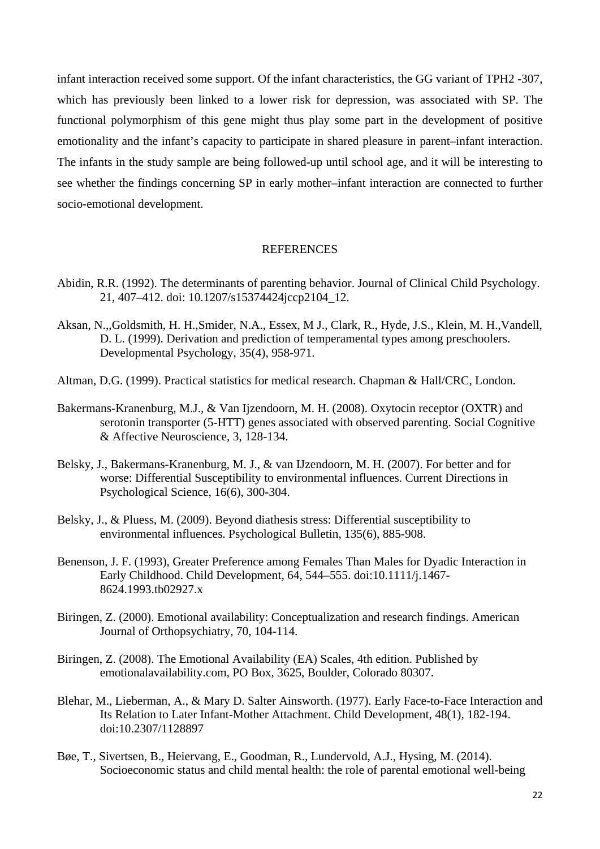infant interaction received some support. Of the infant characteristics, the GG variant of TPH2 -307, which has previously been linked to a lower risk for depression, was associated with SP. The functional polymorphism of this gene might thus play some part in the development of positive emotionality and the infant's capacity to participate in shared pleasure in parent–infant interaction. The infants in the study sample are being followed-up until school age, and it will be interesting to see whether the findings concerning SP in early mother–infant interaction are connected to further socio-emotional development.

#### **REFERENCES**

- Abidin, R.R. (1992). The determinants of parenting behavior. Journal of Clinical Child Psychology. 21, 407–412. doi: 10.1207/s15374424jccp2104\_12.
- Aksan, N.,,Goldsmith, H. H.,Smider, N.A., Essex, M J., Clark, R., Hyde, J.S., Klein, M. H.,Vandell, D. L. (1999). Derivation and prediction of temperamental types among preschoolers. Developmental Psychology, 35(4), 958-971.
- Altman, D.G. (1999). Practical statistics for medical research. Chapman & Hall/CRC, London.
- Bakermans-Kranenburg, M.J., & Van Ijzendoorn, M. H. (2008). Oxytocin receptor (OXTR) and serotonin transporter (5-HTT) genes associated with observed parenting. Social Cognitive & Affective Neuroscience, 3, 128-134.
- Belsky, J., Bakermans-Kranenburg, M. J., & van IJzendoorn, M. H. (2007). For better and for worse: Differential Susceptibility to environmental influences. Current Directions in Psychological Science, 16(6), 300-304.
- Belsky, J., & Pluess, M. (2009). Beyond diathesis stress: Differential susceptibility to environmental influences. Psychological Bulletin, 135(6), 885-908.
- Benenson, J. F. (1993), Greater Preference among Females Than Males for Dyadic Interaction in Early Childhood. Child Development, 64, 544–555. doi:10.1111/j.1467- 8624.1993.tb02927.x
- Biringen, Z. (2000). Emotional availability: Conceptualization and research findings. American Journal of Orthopsychiatry, 70, 104-114.
- Biringen, Z. (2008). The Emotional Availability (EA) Scales, 4th edition. Published by emotionalavailability.com, PO Box, 3625, Boulder, Colorado 80307.
- Blehar, M., Lieberman, A., & Mary D. Salter Ainsworth. (1977). Early Face-to-Face Interaction and Its Relation to Later Infant-Mother Attachment. Child Development, 48(1), 182-194. doi:10.2307/1128897
- Bøe, T., Sivertsen, B., Heiervang, E., Goodman, R., Lundervold, A.J., Hysing, M. (2014). Socioeconomic status and child mental health: the role of parental emotional well-being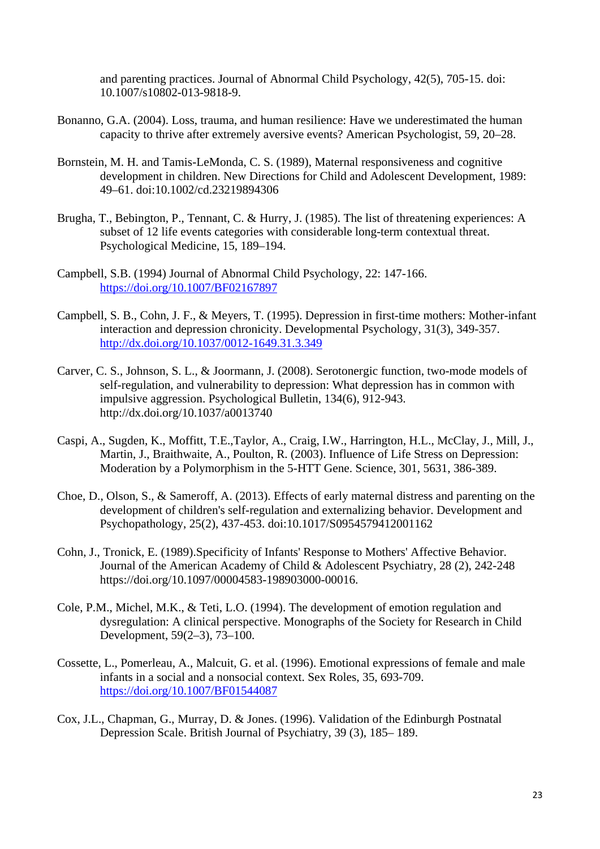and parenting practices. Journal of Abnormal Child Psychology, 42(5), 705-15. doi: 10.1007/s10802-013-9818-9.

- Bonanno, G.A. (2004). Loss, trauma, and human resilience: Have we underestimated the human capacity to thrive after extremely aversive events? American Psychologist, 59, 20–28.
- Bornstein, M. H. and Tamis-LeMonda, C. S. (1989), Maternal responsiveness and cognitive development in children. New Directions for Child and Adolescent Development, 1989: 49–61. doi:10.1002/cd.23219894306
- Brugha, T., Bebington, P., Tennant, C. & Hurry, J. (1985). The list of threatening experiences: A subset of 12 life events categories with considerable long-term contextual threat. Psychological Medicine, 15, 189–194.
- Campbell, S.B. (1994) Journal of Abnormal Child Psychology, 22: 147-166. <https://doi.org/10.1007/BF02167897>
- Campbell, S. B., Cohn, J. F., & Meyers, T. (1995). Depression in first-time mothers: Mother-infant interaction and depression chronicity. Developmental Psychology, 31(3), 349-357. <http://dx.doi.org/10.1037/0012-1649.31.3.349>
- Carver, C. S., Johnson, S. L., & Joormann, J. (2008). Serotonergic function, two-mode models of self-regulation, and vulnerability to depression: What depression has in common with impulsive aggression. Psychological Bulletin, 134(6), 912-943. http://dx.doi.org/10.1037/a0013740
- Caspi, A., Sugden, K., Moffitt, T.E.,Taylor, A., Craig, I.W., Harrington, H.L., McClay, J., Mill, J., Martin, J., Braithwaite, A., Poulton, R. (2003). Influence of Life Stress on Depression: Moderation by a Polymorphism in the 5-HTT Gene. Science, 301, 5631, 386-389.
- Choe, D., Olson, S., & Sameroff, A. (2013). Effects of early maternal distress and parenting on the development of children's self-regulation and externalizing behavior. Development and Psychopathology, 25(2), 437-453. doi:10.1017/S0954579412001162
- Cohn, J., Tronick, E. (1989).Specificity of Infants' Response to Mothers' Affective Behavior. Journal of the American Academy of Child & Adolescent Psychiatry, 28 (2), 242-248 https://doi.org/10.1097/00004583-198903000-00016.
- Cole, P.M., Michel, M.K., & Teti, L.O. (1994). The development of emotion regulation and dysregulation: A clinical perspective. Monographs of the Society for Research in Child Development, 59(2–3), 73–100.
- Cossette, L., Pomerleau, A., Malcuit, G. et al. (1996). Emotional expressions of female and male infants in a social and a nonsocial context. Sex Roles, 35, 693-709. <https://doi.org/10.1007/BF01544087>
- Cox, J.L., Chapman, G., Murray, D. & Jones. (1996). Validation of the Edinburgh Postnatal Depression Scale. British Journal of Psychiatry, 39 (3), 185– 189.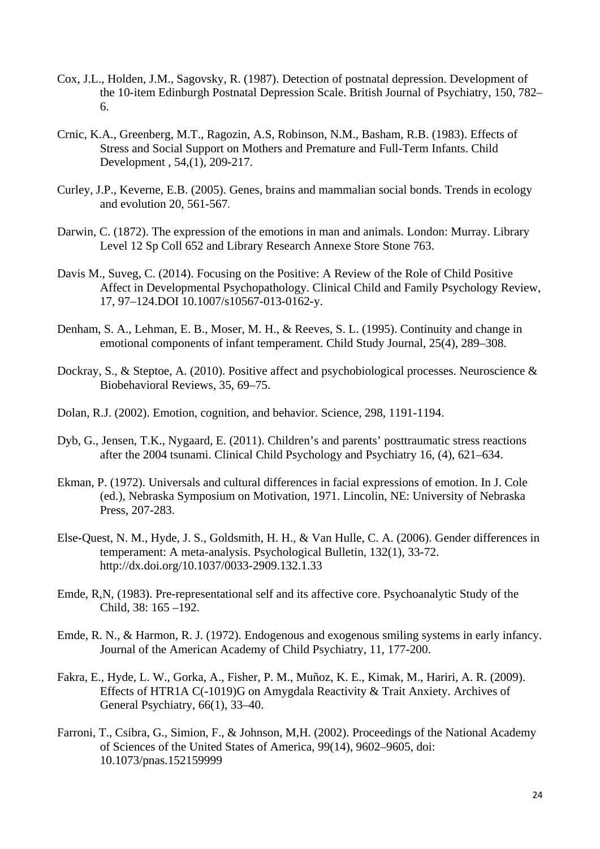- Cox, J.L., Holden, J.M., Sagovsky, R. (1987). Detection of postnatal depression. Development of the 10-item Edinburgh Postnatal Depression Scale. British Journal of Psychiatry, 150, 782– 6.
- Crnic, K.A., Greenberg, M.T., Ragozin, A.S, Robinson, N.M., Basham, R.B. (1983). Effects of Stress and Social Support on Mothers and Premature and Full-Term Infants. Child Development , 54,(1), 209-217.
- Curley, J.P., Keverne, E.B. (2005). Genes, brains and mammalian social bonds. Trends in ecology and evolution 20, 561-567.
- Darwin, C. (1872). The expression of the emotions in man and animals. London: Murray. Library Level 12 Sp Coll 652 and Library Research Annexe Store Stone 763.
- Davis M., Suveg, C. (2014). Focusing on the Positive: A Review of the Role of Child Positive Affect in Developmental Psychopathology. Clinical Child and Family Psychology Review, 17, 97–124.DOI 10.1007/s10567-013-0162-y.
- Denham, S. A., Lehman, E. B., Moser, M. H., & Reeves, S. L. (1995). Continuity and change in emotional components of infant temperament. Child Study Journal, 25(4), 289–308.
- Dockray, S., & Steptoe, A. (2010). Positive affect and psychobiological processes. Neuroscience & Biobehavioral Reviews, 35, 69–75.
- Dolan, R.J. (2002). Emotion, cognition, and behavior. Science, 298, 1191-1194.
- Dyb, G., Jensen, T.K., Nygaard, E. (2011). Children's and parents' posttraumatic stress reactions after the 2004 tsunami. Clinical Child Psychology and Psychiatry 16, (4), 621–634.
- Ekman, P. (1972). Universals and cultural differences in facial expressions of emotion. In J. Cole (ed.), Nebraska Symposium on Motivation, 1971. Lincolin, NE: University of Nebraska Press, 207-283.
- Else-Quest, N. M., Hyde, J. S., Goldsmith, H. H., & Van Hulle, C. A. (2006). Gender differences in temperament: A meta-analysis. Psychological Bulletin, 132(1), 33-72. http://dx.doi.org/10.1037/0033-2909.132.1.33
- Emde, R,N, (1983). Pre-representational self and its affective core. Psychoanalytic Study of the Child, 38: 165 –192.
- Emde, R. N., & Harmon, R. J. (1972). Endogenous and exogenous smiling systems in early infancy. Journal of the American Academy of Child Psychiatry, 11, 177-200.
- Fakra, E., Hyde, L. W., Gorka, A., Fisher, P. M., Muñoz, K. E., Kimak, M., Hariri, A. R. (2009). Effects of HTR1A C(-1019)G on Amygdala Reactivity & Trait Anxiety. Archives of General Psychiatry, 66(1), 33–40.
- Farroni, T., Csibra, G., Simion, F., & Johnson, M,H. (2002). Proceedings of the National Academy of Sciences of the United States of America, 99(14), 9602–9605, doi: 10.1073/pnas.152159999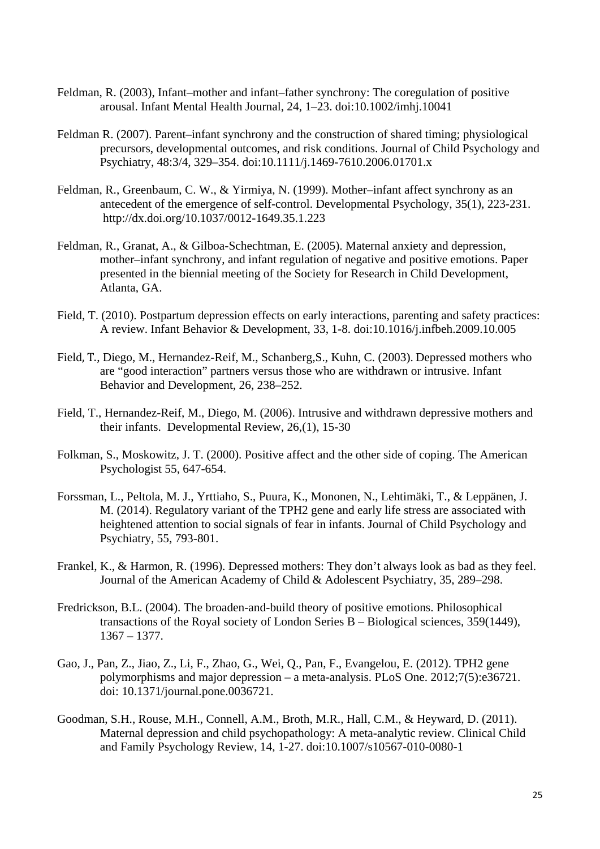- Feldman, R. (2003), Infant–mother and infant–father synchrony: The coregulation of positive arousal. Infant Mental Health Journal, 24, 1–23. doi:10.1002/imhj.10041
- Feldman R. (2007). Parent–infant synchrony and the construction of shared timing; physiological precursors, developmental outcomes, and risk conditions. Journal of Child Psychology and Psychiatry, 48:3/4, 329–354. doi:10.1111/j.1469-7610.2006.01701.x
- Feldman, R., Greenbaum, C. W., & Yirmiya, N. (1999). Mother–infant affect synchrony as an antecedent of the emergence of self-control. Developmental Psychology, 35(1), 223-231. http://dx.doi.org/10.1037/0012-1649.35.1.223
- Feldman, R., Granat, A., & Gilboa-Schechtman, E. (2005). Maternal anxiety and depression, mother–infant synchrony, and infant regulation of negative and positive emotions. Paper presented in the biennial meeting of the Society for Research in Child Development, Atlanta, GA.
- Field, T. (2010). Postpartum depression effects on early interactions, parenting and safety practices: A review. Infant Behavior & Development, 33, 1-8. doi:10.1016/j.infbeh.2009.10.005
- Field, T., Diego, M., Hernandez-Reif, M., Schanberg,S., Kuhn, C. (2003). Depressed mothers who are "good interaction" partners versus those who are withdrawn or intrusive. Infant Behavior and Development, 26, 238–252.
- Field, T., Hernandez-Reif, M., Diego, M. (2006). Intrusive and withdrawn depressive mothers and their infants. Developmental Review, 26,(1), 15-30
- Folkman, S., Moskowitz, J. T. (2000). Positive affect and the other side of coping. The American Psychologist 55, 647-654.
- Forssman, L., Peltola, M. J., Yrttiaho, S., Puura, K., Mononen, N., Lehtimäki, T., & Leppänen, J. M. (2014). Regulatory variant of the TPH2 gene and early life stress are associated with heightened attention to social signals of fear in infants. Journal of Child Psychology and Psychiatry, 55, 793-801.
- Frankel, K., & Harmon, R. (1996). Depressed mothers: They don't always look as bad as they feel. Journal of the American Academy of Child & Adolescent Psychiatry, 35, 289–298.
- Fredrickson, B.L. (2004). The broaden-and-build theory of positive emotions. Philosophical transactions of the Royal society of London Series B – Biological sciences, 359(1449), 1367 – 1377.
- Gao, J., Pan, Z., Jiao, Z., Li, F., Zhao, G., Wei, Q., Pan, F., Evangelou, E. (2012). TPH2 gene polymorphisms and major depression – a meta-analysis. PLoS One. 2012;7(5):e36721. doi: 10.1371/journal.pone.0036721.
- Goodman, S.H., Rouse, M.H., Connell, A.M., Broth, M.R., Hall, C.M., & Heyward, D. (2011). Maternal depression and child psychopathology: A meta-analytic review. Clinical Child and Family Psychology Review, 14, 1-27. doi:10.1007/s10567-010-0080-1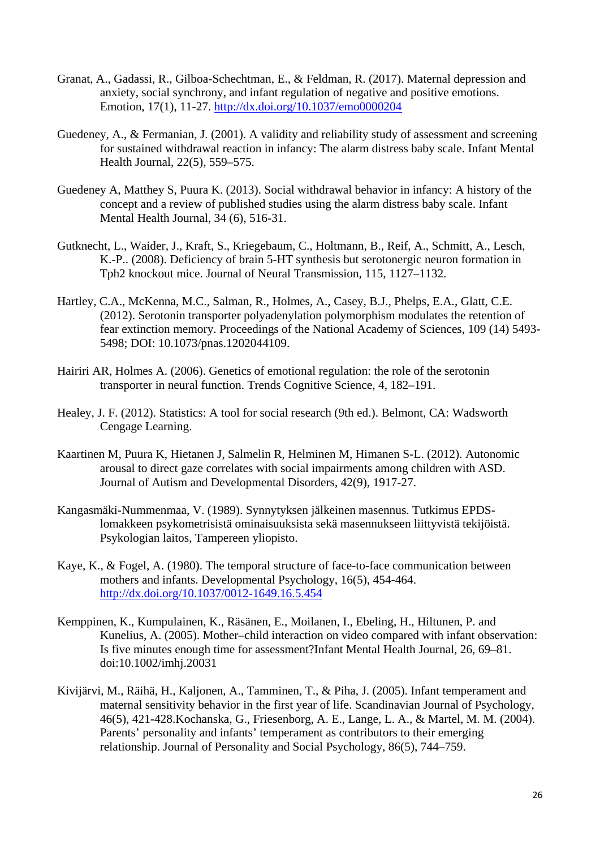- Granat, A., Gadassi, R., Gilboa-Schechtman, E., & Feldman, R. (2017). Maternal depression and anxiety, social synchrony, and infant regulation of negative and positive emotions. Emotion, 17(1), 11-27.<http://dx.doi.org/10.1037/emo0000204>
- Guedeney, A., & Fermanian, J. (2001). A validity and reliability study of assessment and screening for sustained withdrawal reaction in infancy: The alarm distress baby scale. Infant Mental Health Journal, 22(5), 559–575.
- Guedeney A, Matthey S, Puura K. (2013). Social withdrawal behavior in infancy: A history of the concept and a review of published studies using the alarm distress baby scale. Infant Mental Health Journal, 34 (6), 516-31.
- Gutknecht, L., Waider, J., Kraft, S., Kriegebaum, C., Holtmann, B., Reif, A., Schmitt, A., Lesch, K.-P.. (2008). Deficiency of brain 5-HT synthesis but serotonergic neuron formation in Tph2 knockout mice. Journal of Neural Transmission, 115, 1127–1132.
- Hartley, C.A., McKenna, M.C., Salman, R., Holmes, A., Casey, B.J., Phelps, E.A., Glatt, C.E. (2012). Serotonin transporter polyadenylation polymorphism modulates the retention of fear extinction memory. Proceedings of the National Academy of Sciences, 109 (14) 5493- 5498; DOI: 10.1073/pnas.1202044109.
- Hairiri AR, Holmes A. (2006). Genetics of emotional regulation: the role of the serotonin transporter in neural function. Trends Cognitive Science, 4, 182–191.
- Healey, J. F. (2012). Statistics: A tool for social research (9th ed.). Belmont, CA: Wadsworth Cengage Learning.
- Kaartinen M, Puura K, Hietanen J, Salmelin R, Helminen M, Himanen S-L. (2012). Autonomic arousal to direct gaze correlates with social impairments among children with ASD. Journal of Autism and Developmental Disorders, 42(9), 1917-27.
- Kangasmäki-Nummenmaa, V. (1989). Synnytyksen jälkeinen masennus. Tutkimus EPDSlomakkeen psykometrisistä ominaisuuksista sekä masennukseen liittyvistä tekijöistä. Psykologian laitos, Tampereen yliopisto.
- Kaye, K., & Fogel, A. (1980). The temporal structure of face-to-face communication between mothers and infants. Developmental Psychology, 16(5), 454-464. <http://dx.doi.org/10.1037/0012-1649.16.5.454>
- Kemppinen, K., Kumpulainen, K., Räsänen, E., Moilanen, I., Ebeling, H., Hiltunen, P. and Kunelius, A. (2005). Mother–child interaction on video compared with infant observation: Is five minutes enough time for assessment?Infant Mental Health Journal, 26, 69–81. doi:10.1002/imhj.20031
- Kivijärvi, M., Räihä, H., Kaljonen, A., Tamminen, T., & Piha, J. (2005). Infant temperament and maternal sensitivity behavior in the first year of life. Scandinavian Journal of Psychology, 46(5), 421-428.Kochanska, G., Friesenborg, A. E., Lange, L. A., & Martel, M. M. (2004). Parents' personality and infants' temperament as contributors to their emerging relationship. Journal of Personality and Social Psychology, 86(5), 744–759.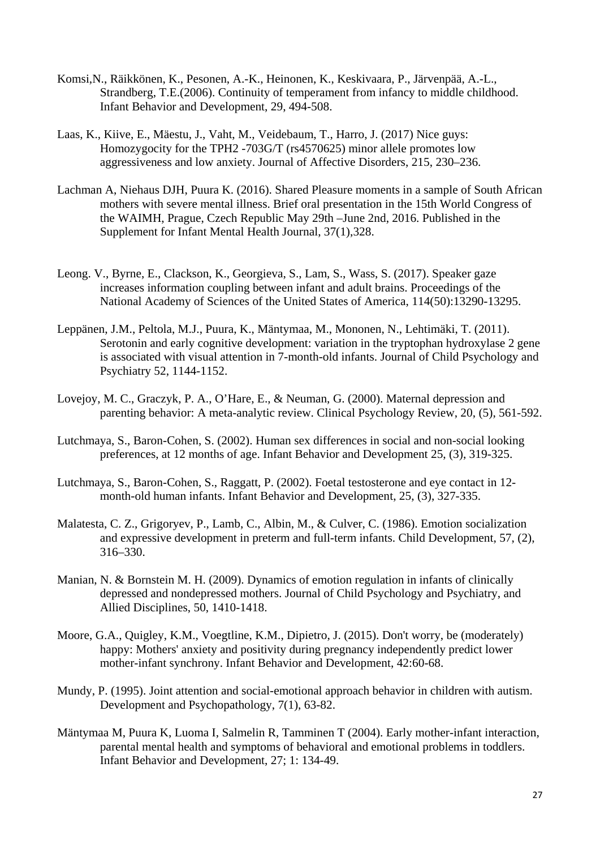- Komsi,N., Räikkönen, K., Pesonen, A.-K., Heinonen, K., Keskivaara, P., Järvenpää, A.-L., Strandberg, T.E.(2006). Continuity of temperament from infancy to middle childhood. Infant Behavior and Development, 29, 494-508.
- Laas, K., Kiive, E., Mäestu, J., Vaht, M., Veidebaum, T., Harro, J. (2017) Nice guys: Homozygocity for the TPH2 -703G/T (rs4570625) minor allele promotes low aggressiveness and low anxiety. Journal of Affective Disorders, 215, 230–236.
- Lachman A, Niehaus DJH, Puura K. (2016). Shared Pleasure moments in a sample of South African mothers with severe mental illness. Brief oral presentation in the 15th World Congress of the WAIMH, Prague, Czech Republic May 29th –June 2nd, 2016. Published in the Supplement for Infant Mental Health Journal, 37(1),328.
- Leong. V., Byrne, E., Clackson, K., Georgieva, S., Lam, S., Wass, S. (2017). Speaker gaze increases information coupling between infant and adult brains. Proceedings of the National Academy of Sciences of the United States of America, 114(50):13290-13295.
- Leppänen, J.M., Peltola, M.J., Puura, K., Mäntymaa, M., Mononen, N., Lehtimäki, T. (2011). Serotonin and early cognitive development: variation in the tryptophan hydroxylase 2 gene is associated with visual attention in 7-month-old infants. Journal of Child Psychology and Psychiatry 52, 1144-1152.
- Lovejoy, M. C., Graczyk, P. A., O'Hare, E., & Neuman, G. (2000). Maternal depression and parenting behavior: A meta-analytic review. Clinical Psychology Review, 20, (5), 561-592.
- Lutchmaya, S., Baron-Cohen, S. (2002). Human sex differences in social and non-social looking preferences, at 12 months of age. Infant Behavior and Development 25, (3), 319-325.
- Lutchmaya, S., Baron-Cohen, S., Raggatt, P. (2002). Foetal testosterone and eye contact in 12 month-old human infants. Infant Behavior and Development, 25, (3), 327-335.
- Malatesta, C. Z., Grigoryev, P., Lamb, C., Albin, M., & Culver, C. (1986). Emotion socialization and expressive development in preterm and full-term infants. Child Development, 57, (2), 316–330.
- Manian, N. & Bornstein M. H. (2009). Dynamics of emotion regulation in infants of clinically depressed and nondepressed mothers. Journal of Child Psychology and Psychiatry, and Allied Disciplines, 50, 1410-1418.
- Moore, G.A., Quigley, K.M., Voegtline, K.M., Dipietro, J. (2015). Don't worry, be (moderately) happy: Mothers' anxiety and positivity during pregnancy independently predict lower mother-infant synchrony. Infant Behavior and Development, 42:60-68.
- Mundy, P. (1995). Joint attention and social-emotional approach behavior in children with autism. Development and Psychopathology, 7(1), 63-82.
- Mäntymaa M, Puura K, Luoma I, Salmelin R, Tamminen T (2004). Early mother-infant interaction, parental mental health and symptoms of behavioral and emotional problems in toddlers. Infant Behavior and Development, 27; 1: 134-49.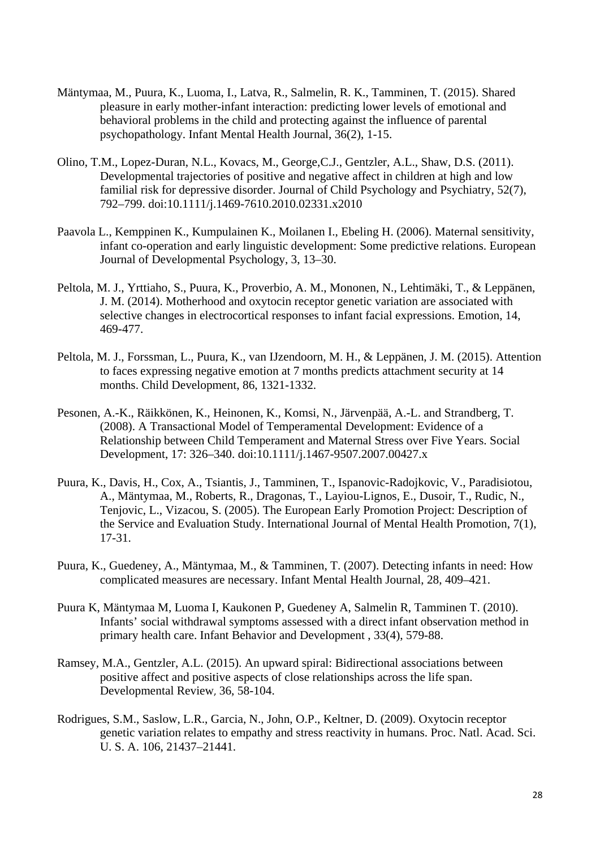- Mäntymaa, M., Puura, K., Luoma, I., Latva, R., Salmelin, R. K., Tamminen, T. (2015). Shared pleasure in early mother-infant interaction: predicting lower levels of emotional and behavioral problems in the child and protecting against the influence of parental psychopathology. Infant Mental Health Journal, 36(2), 1-15.
- Olino, T.M., Lopez-Duran, N.L., Kovacs, M., George,C.J., Gentzler, A.L., Shaw, D.S. (2011). Developmental trajectories of positive and negative affect in children at high and low familial risk for depressive disorder. Journal of Child Psychology and Psychiatry, 52(7), 792–799. doi:10.1111/j.1469-7610.2010.02331.x2010
- Paavola L., Kemppinen K., Kumpulainen K., Moilanen I., Ebeling H. (2006). Maternal sensitivity, infant co-operation and early linguistic development: Some predictive relations. European Journal of Developmental Psychology, 3, 13–30.
- Peltola, M. J., Yrttiaho, S., Puura, K., Proverbio, A. M., Mononen, N., Lehtimäki, T., & Leppänen, J. M. (2014). Motherhood and oxytocin receptor genetic variation are associated with selective changes in electrocortical responses to infant facial expressions. Emotion, 14, 469-477.
- Peltola, M. J., Forssman, L., Puura, K., van IJzendoorn, M. H., & Leppänen, J. M. (2015). Attention to faces expressing negative emotion at 7 months predicts attachment security at 14 months. Child Development, 86, 1321-1332.
- Pesonen, A.-K., Räikkönen, K., Heinonen, K., Komsi, N., Järvenpää, A.-L. and Strandberg, T. (2008). A Transactional Model of Temperamental Development: Evidence of a Relationship between Child Temperament and Maternal Stress over Five Years. Social Development, 17: 326–340. doi:10.1111/j.1467-9507.2007.00427.x
- Puura, K., Davis, H., Cox, A., Tsiantis, J., Tamminen, T., Ispanovic-Radojkovic, V., Paradisiotou, A., Mäntymaa, M., Roberts, R., Dragonas, T., Layiou-Lignos, E., Dusoir, T., Rudic, N., Tenjovic, L., Vizacou, S. (2005). The European Early Promotion Project: Description of the Service and Evaluation Study. International Journal of Mental Health Promotion, 7(1), 17-31.
- Puura, K., Guedeney, A., Mäntymaa, M., & Tamminen, T. (2007). Detecting infants in need: How complicated measures are necessary. Infant Mental Health Journal, 28, 409–421.
- Puura K, Mäntymaa M, Luoma I, Kaukonen P, Guedeney A, Salmelin R, Tamminen T. (2010). Infants' social withdrawal symptoms assessed with a direct infant observation method in primary health care. Infant Behavior and Development , 33(4), 579-88.
- Ramsey, M.A., Gentzler, A.L. (2015). An upward spiral: Bidirectional associations between positive affect and positive aspects of close relationships across the life span. Developmental Review, 36, 58-104.
- Rodrigues, S.M., Saslow, L.R., Garcia, N., John, O.P., Keltner, D. (2009). Oxytocin receptor genetic variation relates to empathy and stress reactivity in humans. Proc. Natl. Acad. Sci. U. S. A. 106, 21437–21441.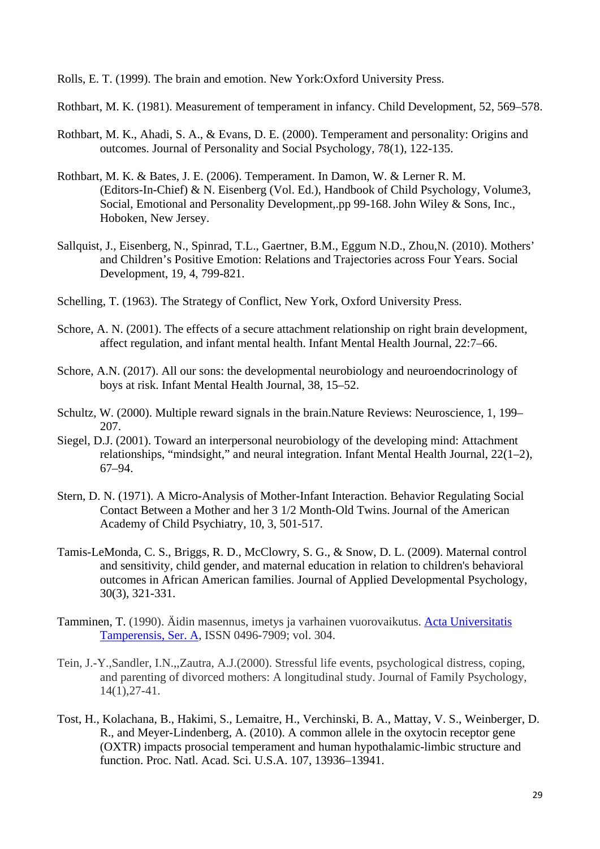Rolls, E. T. (1999). The brain and emotion. New York:Oxford University Press.

Rothbart, M. K. (1981). Measurement of temperament in infancy. Child Development, 52, 569–578.

- Rothbart, M. K., Ahadi, S. A., & Evans, D. E. (2000). Temperament and personality: Origins and outcomes. Journal of Personality and Social Psychology, 78(1), 122-135.
- Rothbart, M. K. & Bates, J. E. (2006). Temperament. In Damon, W. & Lerner R. M. (Editors-In-Chief) & N. Eisenberg (Vol. Ed.), Handbook of Child Psychology, Volume3, Social, Emotional and Personality Development,.pp 99-168.John Wiley & Sons, Inc., Hoboken, New Jersey.
- Sallquist, J., Eisenberg, N., Spinrad, T.L., Gaertner, B.M., Eggum N.D., Zhou,N. (2010). Mothers' and Children's Positive Emotion: Relations and Trajectories across Four Years. Social Development, 19, 4, 799-821.
- Schelling, T. (1963). The Strategy of Conflict, New York, Oxford University Press.
- Schore, A. N. (2001). The effects of a secure attachment relationship on right brain development, affect regulation, and infant mental health. Infant Mental Health Journal, 22:7–66.
- Schore, A.N. (2017). All our sons: the developmental neurobiology and neuroendocrinology of boys at risk. Infant Mental Health Journal, 38, 15–52.
- Schultz, W. (2000). Multiple reward signals in the brain.Nature Reviews: Neuroscience, 1, 199– 207.
- Siegel, D.J. (2001). Toward an interpersonal neurobiology of the developing mind: Attachment relationships, "mindsight," and neural integration. Infant Mental Health Journal, 22(1–2), 67–94.
- Stern, D. N. (1971). A Micro-Analysis of Mother-Infant Interaction. Behavior Regulating Social Contact Between a Mother and her 3 1/2 Month-Old Twins.Journal of the American Academy of Child Psychiatry, 10, 3, 501-517.
- Tamis-LeMonda, C. S., Briggs, R. D., McClowry, S. G., & Snow, D. L. (2009). Maternal control and sensitivity, child gender, and maternal education in relation to children's behavioral outcomes in African American families. Journal of Applied Developmental Psychology, 30(3), 321-331.
- Tamminen, T. (1990). Äidin masennus, imetys ja varhainen vuorovaikutus. [Acta Universitatis](https://jyu.finna.fi/Search/Results?lookfor=%22Acta+Universitatis+Tamperensis%2C+Ser.+A%22&type=Series&hiddenFilters%5B%5D=-building%3A0%2FJAMK%2F&hiddenFilters%5B%5D=-building%3A0%2FKeski%2F&hiddenFilters%5B%5D=-building%3A0%2FNRL%2F&hiddenFilters%5B%5D=-building%3A1%2FNLF%2Farto%2F)  [Tamperensis, Ser. A,](https://jyu.finna.fi/Search/Results?lookfor=%22Acta+Universitatis+Tamperensis%2C+Ser.+A%22&type=Series&hiddenFilters%5B%5D=-building%3A0%2FJAMK%2F&hiddenFilters%5B%5D=-building%3A0%2FKeski%2F&hiddenFilters%5B%5D=-building%3A0%2FNRL%2F&hiddenFilters%5B%5D=-building%3A1%2FNLF%2Farto%2F) ISSN 0496-7909; vol. 304.
- Tein, J.-Y.,Sandler, I.N.,,Zautra, A.J.(2000). Stressful life events, psychological distress, coping, and parenting of divorced mothers: A longitudinal study. Journal of Family Psychology, 14(1),27-41.
- Tost, H., Kolachana, B., Hakimi, S., Lemaitre, H., Verchinski, B. A., Mattay, V. S., Weinberger, D. R., and Meyer-Lindenberg, A. (2010). A common allele in the oxytocin receptor gene (OXTR) impacts prosocial temperament and human hypothalamic-limbic structure and function. Proc. Natl. Acad. Sci. U.S.A. 107, 13936–13941.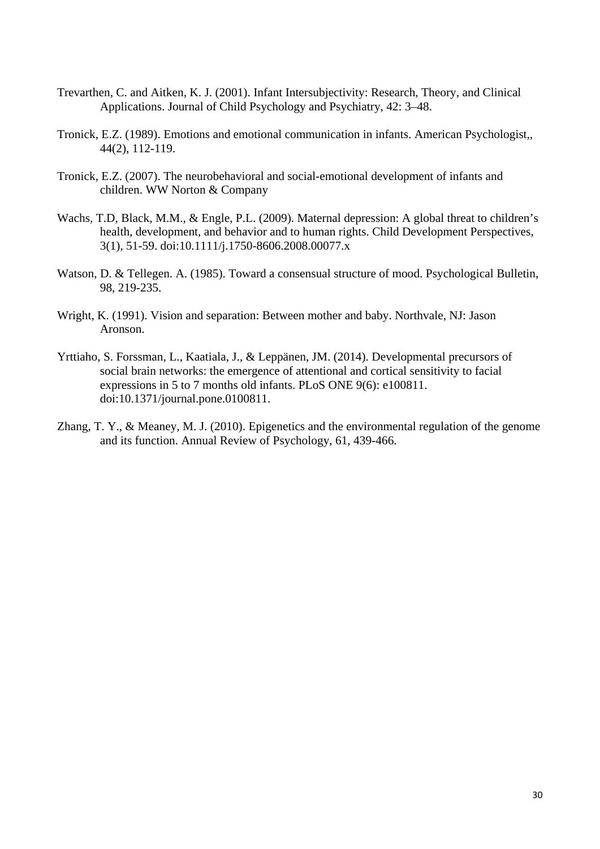- Trevarthen, C. and Aitken, K. J. (2001). Infant Intersubjectivity: Research, Theory, and Clinical Applications. Journal of Child Psychology and Psychiatry, 42: 3–48.
- Tronick, E.Z. (1989). Emotions and emotional communication in infants. American Psychologist,, 44(2), 112-119.
- Tronick, E.Z. (2007). The neurobehavioral and social-emotional development of infants and children. WW Norton & Company
- Wachs, T.D, Black, M.M., & Engle, P.L. (2009). Maternal depression: A global threat to children's health, development, and behavior and to human rights. Child Development Perspectives, 3(1), 51-59. doi:10.1111/j.1750-8606.2008.00077.x
- Watson, D. & Tellegen. A. (1985). Toward a consensual structure of mood. Psychological Bulletin, 98, 219-235.
- Wright, K. (1991). Vision and separation: Between mother and baby. Northvale, NJ: Jason Aronson.
- Yrttiaho, S. Forssman, L., Kaatiala, J., & Leppänen, JM. (2014). Developmental precursors of social brain networks: the emergence of attentional and cortical sensitivity to facial expressions in 5 to 7 months old infants. PLoS ONE 9(6): e100811. doi:10.1371/journal.pone.0100811.
- Zhang, T. Y., & Meaney, M. J. (2010). Epigenetics and the environmental regulation of the genome and its function. Annual Review of Psychology, 61, 439-466.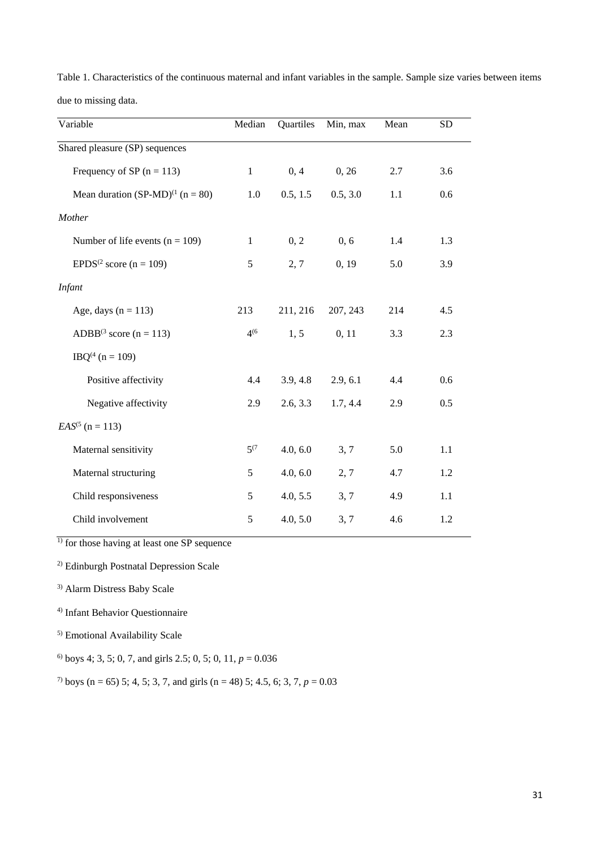| Table 1. Characteristics of the continuous maternal and infant variables in the sample. Sample size varies between items |  |  |  |  |  |
|--------------------------------------------------------------------------------------------------------------------------|--|--|--|--|--|
| due to missing data.                                                                                                     |  |  |  |  |  |

| Variable                               | Median       | Quartiles | Min, max | Mean | <b>SD</b> |
|----------------------------------------|--------------|-----------|----------|------|-----------|
| Shared pleasure (SP) sequences         |              |           |          |      |           |
| Frequency of SP $(n = 113)$            | $\mathbf{1}$ | 0, 4      | 0, 26    | 2.7  | 3.6       |
| Mean duration $(SP-MD)^{(1)}$ (n = 80) | 1.0          | 0.5, 1.5  | 0.5, 3.0 | 1.1  | 0.6       |
| Mother                                 |              |           |          |      |           |
| Number of life events $(n = 109)$      | $\mathbf{1}$ | 0, 2      | 0, 6     | 1.4  | 1.3       |
| EPDS <sup>(2</sup> score (n = 109)     | 5            | 2, 7      | 0, 19    | 5.0  | 3.9       |
| <b>Infant</b>                          |              |           |          |      |           |
| Age, days $(n = 113)$                  | 213          | 211, 216  | 207, 243 | 214  | 4.5       |
| ADBB <sup>(3</sup> score (n = 113)     | $4^{(6)}$    | 1, 5      | 0, 11    | 3.3  | 2.3       |
| $IBQ^{(4)} (n = 109)$                  |              |           |          |      |           |
| Positive affectivity                   | 4.4          | 3.9, 4.8  | 2.9, 6.1 | 4.4  | 0.6       |
| Negative affectivity                   | 2.9          | 2.6, 3.3  | 1.7, 4.4 | 2.9  | 0.5       |
| $EAS^{(5)}$ (n = 113)                  |              |           |          |      |           |
| Maternal sensitivity                   | $5^{(7)}$    | 4.0, 6.0  | 3, 7     | 5.0  | 1.1       |
| Maternal structuring                   | 5            | 4.0, 6.0  | 2, 7     | 4.7  | 1.2       |
| Child responsiveness                   | 5            | 4.0, 5.5  | 3, 7     | 4.9  | 1.1       |
| Child involvement                      | 5            | 4.0, 5.0  | 3, 7     | 4.6  | 1.2       |

 $\frac{1}{1}$  for those having at least one SP sequence

2) Edinburgh Postnatal Depression Scale

3) Alarm Distress Baby Scale

4) Infant Behavior Questionnaire

5) Emotional Availability Scale

<sup>6)</sup> boys 4; 3, 5; 0, 7, and girls 2.5; 0, 5; 0, 11,  $p = 0.036$ 

<sup>7)</sup> boys (n = 65) 5; 4, 5; 3, 7, and girls (n = 48) 5; 4.5, 6; 3, 7,  $p = 0.03$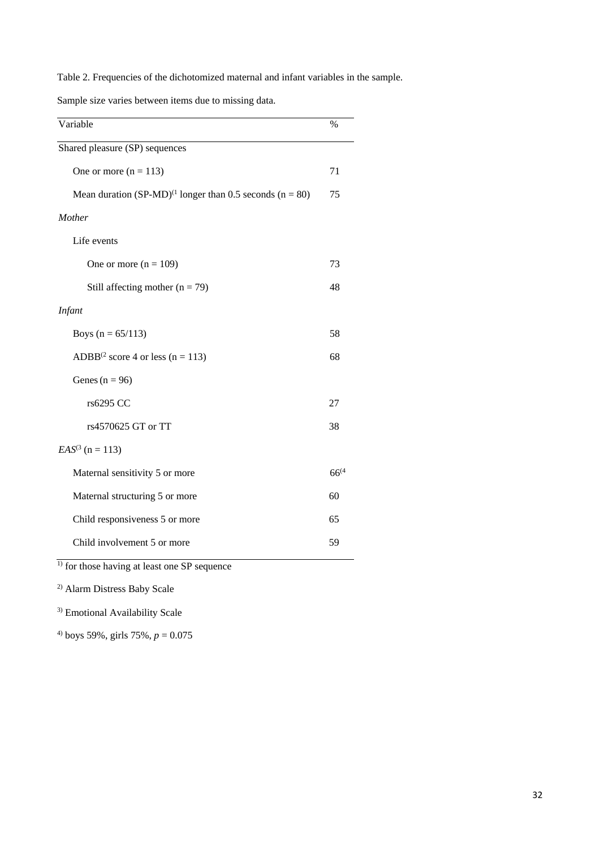Table 2. Frequencies of the dichotomized maternal and infant variables in the sample.

Sample size varies between items due to missing data.

| Variable                                                       | $\%$       |
|----------------------------------------------------------------|------------|
| Shared pleasure (SP) sequences                                 |            |
| One or more $(n = 113)$                                        | 71         |
| Mean duration $(SP-MD)^{(1)}$ longer than 0.5 seconds (n = 80) | 75         |
| Mother                                                         |            |
| Life events                                                    |            |
| One or more $(n = 109)$                                        | 73         |
| Still affecting mother $(n = 79)$                              | 48         |
| <b>Infant</b>                                                  |            |
| Boys ( $n = 65/113$ )                                          | 58         |
| ADBB <sup>(2</sup> score 4 or less (n = 113)                   | 68         |
| Genes ( $n = 96$ )                                             |            |
| rs6295 CC                                                      | 27         |
| rs4570625 GT or TT                                             | 38         |
| $EAS^{(3)}$ (n = 113)                                          |            |
| Maternal sensitivity 5 or more                                 | $66^{(4)}$ |
| Maternal structuring 5 or more                                 | 60         |
| Child responsiveness 5 or more                                 | 65         |
| Child involvement 5 or more                                    | 59         |
| $1$ for those having at least one SP sequence                  |            |

2) Alarm Distress Baby Scale

3) Emotional Availability Scale

<sup>4)</sup> boys 59%, girls 75%,  $p = 0.075$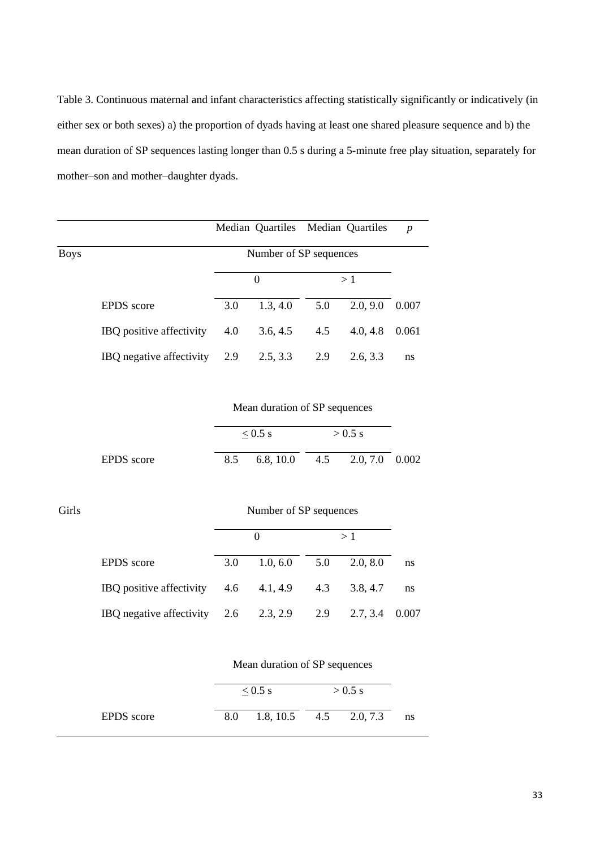Table 3. Continuous maternal and infant characteristics affecting statistically significantly or indicatively (in either sex or both sexes) a) the proportion of dyads having at least one shared pleasure sequence and b) the mean duration of SP sequences lasting longer than 0.5 s during a 5-minute free play situation, separately for mother–son and mother–daughter dyads.

|             |                          |     | Median Quartiles Median Quartiles |     |          | $\boldsymbol{p}$ |
|-------------|--------------------------|-----|-----------------------------------|-----|----------|------------------|
| <b>Boys</b> |                          |     | Number of SP sequences            |     |          |                  |
|             |                          |     | 0                                 |     | >1       |                  |
|             | <b>EPDS</b> score        | 3.0 | 1.3, 4.0                          | 5.0 | 2.0, 9.0 | 0.007            |
|             | IBQ positive affectivity | 4.0 | 3.6, 4.5                          | 4.5 | 4.0, 4.8 | 0.061            |
|             | IBQ negative affectivity | 2.9 | 2.5, 3.3                          | 2.9 | 2.6, 3.3 | ns               |

Mean duration of SP sequences

|            | $\leq$ 0.5 s |                              |  | $> 0.5$ s |  |  |
|------------|--------------|------------------------------|--|-----------|--|--|
| EPDS score | 8.5          | 6.8, 10.0 4.5 2.0, 7.0 0.002 |  |           |  |  |

| I | ٧<br>۰. |
|---|---------|
|---|---------|

# Number of SP sequences

|                                                            | $\mathbf{0}$                      |  |  |    |
|------------------------------------------------------------|-----------------------------------|--|--|----|
| <b>EPDS</b> score                                          | $3.0$ $1.0, 6.0$ $5.0$ $2.0, 8.0$ |  |  | ns |
| IBQ positive affectivity $4.6$ $4.1, 4.9$ $4.3$ $3.8, 4.7$ |                                   |  |  | ns |
| IBQ negative affectivity 2.6 2.3, 2.9 2.9 2.7, 3.4 0.007   |                                   |  |  |    |

|            |     | $< 0.5$ s              | $> 0.5$ s |  |    |
|------------|-----|------------------------|-----------|--|----|
| EPDS score | 8.0 | 1.8, 10.5 4.5 2.0, 7.3 |           |  | ns |